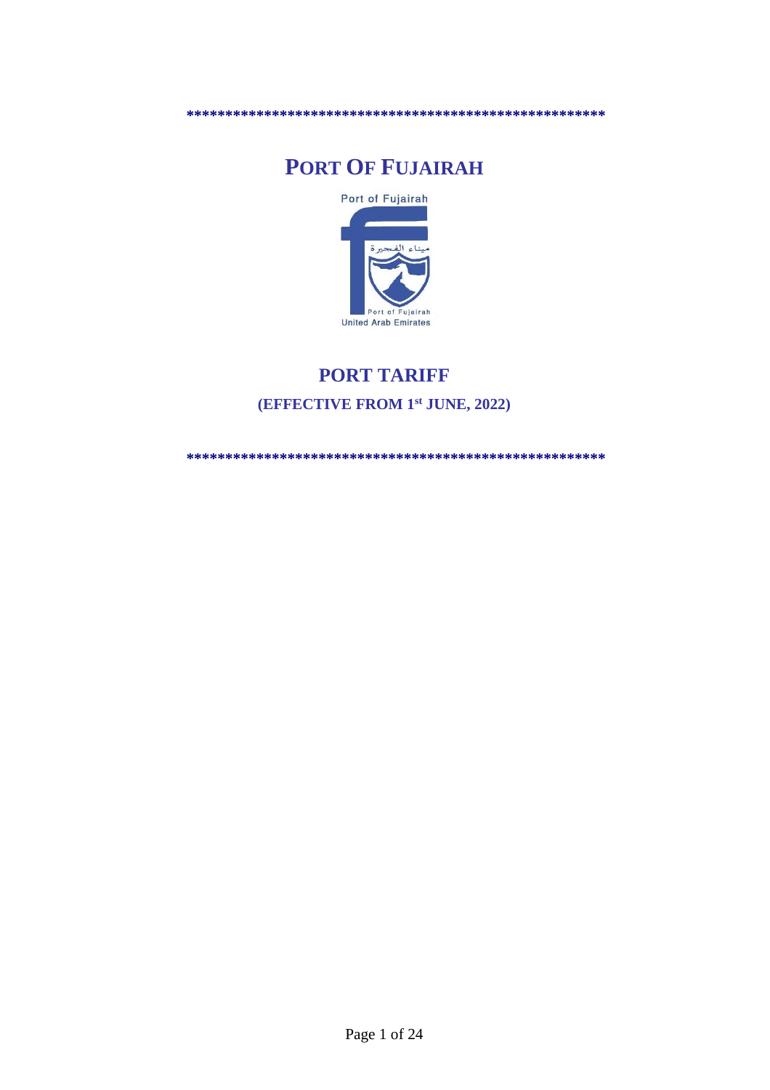# **PORT OF FUJAIRAH**



## **PORT TARIFF (EFFECTIVE FROM 1 st JUNE, 2022)**

**\*\*\*\*\*\*\*\*\*\*\*\*\*\*\*\*\*\*\*\*\*\*\*\*\*\*\*\*\*\*\*\*\*\*\*\*\*\*\*\*\*\*\*\*\*\*\*\*\*\*\*\*\*\***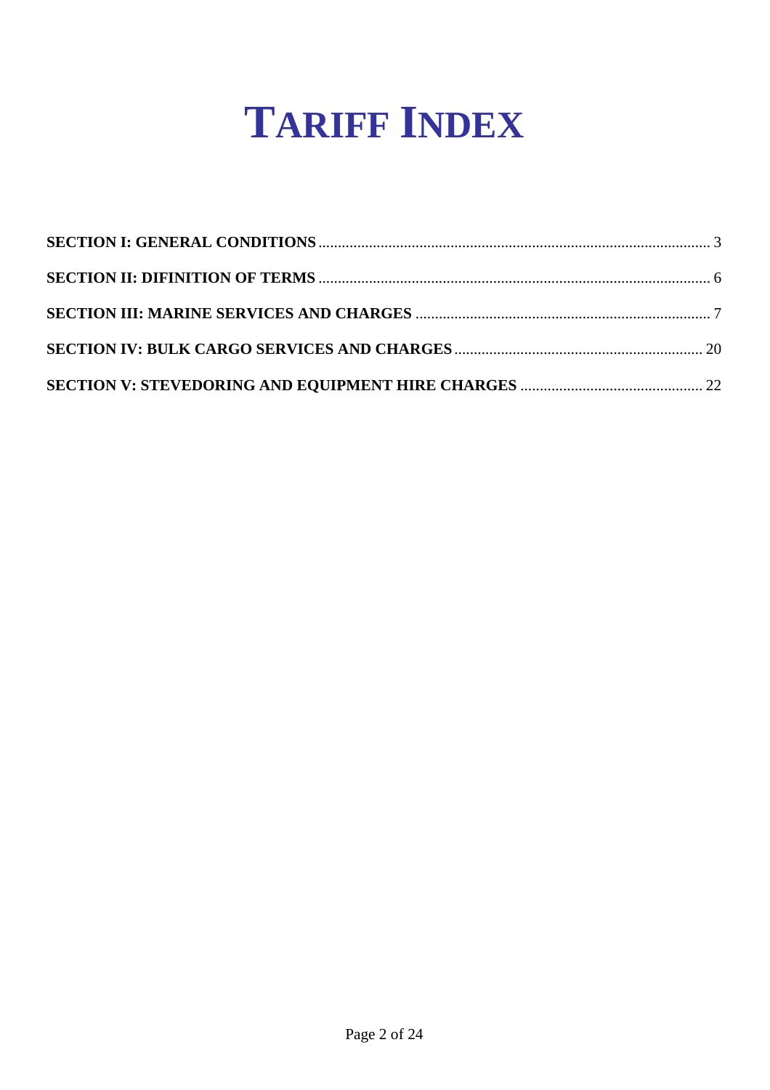# **TARIFF INDEX**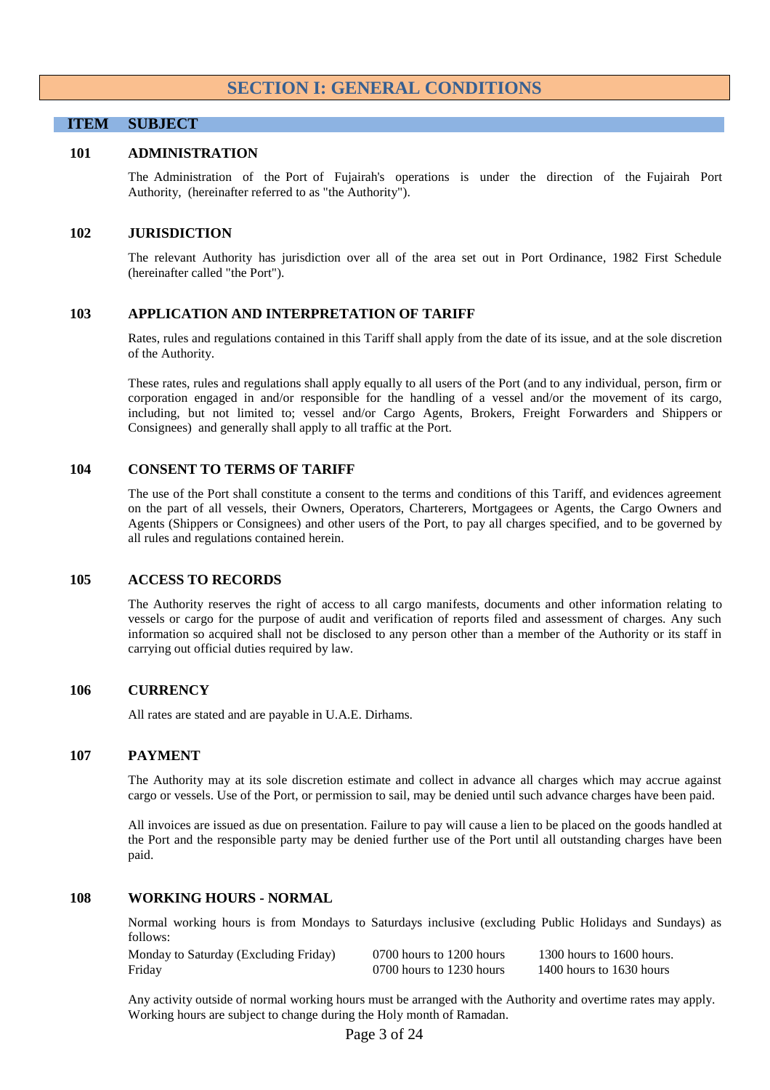#### **SECTION I: GENERAL CONDITIONS**

#### <span id="page-2-0"></span>**ITEM SUBJECT**

#### **101 ADMINISTRATION**

The Administration of the Port of Fujairah's operations is under the direction of the Fujairah Port Authority, (hereinafter referred to as "the Authority").

#### **102 JURISDICTION**

The relevant Authority has jurisdiction over all of the area set out in Port Ordinance, 1982 First Schedule (hereinafter called "the Port").

#### **103 APPLICATION AND INTERPRETATION OF TARIFF**

Rates, rules and regulations contained in this Tariff shall apply from the date of its issue, and at the sole discretion of the Authority.

These rates, rules and regulations shall apply equally to all users of the Port (and to any individual, person, firm or corporation engaged in and/or responsible for the handling of a vessel and/or the movement of its cargo, including, but not limited to; vessel and/or Cargo Agents, Brokers, Freight Forwarders and Shippers or Consignees) and generally shall apply to all traffic at the Port.

#### **104 CONSENT TO TERMS OF TARIFF**

The use of the Port shall constitute a consent to the terms and conditions of this Tariff, and evidences agreement on the part of all vessels, their Owners, Operators, Charterers, Mortgagees or Agents, the Cargo Owners and Agents (Shippers or Consignees) and other users of the Port, to pay all charges specified, and to be governed by all rules and regulations contained herein.

#### **105 ACCESS TO RECORDS**

The Authority reserves the right of access to all cargo manifests, documents and other information relating to vessels or cargo for the purpose of audit and verification of reports filed and assessment of charges. Any such information so acquired shall not be disclosed to any person other than a member of the Authority or its staff in carrying out official duties required by law.

#### **106 CURRENCY**

All rates are stated and are payable in U.A.E. Dirhams.

#### **107 PAYMENT**

The Authority may at its sole discretion estimate and collect in advance all charges which may accrue against cargo or vessels. Use of the Port, or permission to sail, may be denied until such advance charges have been paid.

All invoices are issued as due on presentation. Failure to pay will cause a lien to be placed on the goods handled at the Port and the responsible party may be denied further use of the Port until all outstanding charges have been paid.

#### **108 WORKING HOURS - NORMAL**

Normal working hours is from Mondays to Saturdays inclusive (excluding Public Holidays and Sundays) as follows:

| Monday to Saturday (Excluding Friday) | 0700 hours to 1200 hours | 1300 hours to $1600$ hours. |
|---------------------------------------|--------------------------|-----------------------------|
| Friday                                | 0700 hours to 1230 hours | 1400 hours to 1630 hours    |

Any activity outside of normal working hours must be arranged with the Authority and overtime rates may apply. Working hours are subject to change during the Holy month of Ramadan.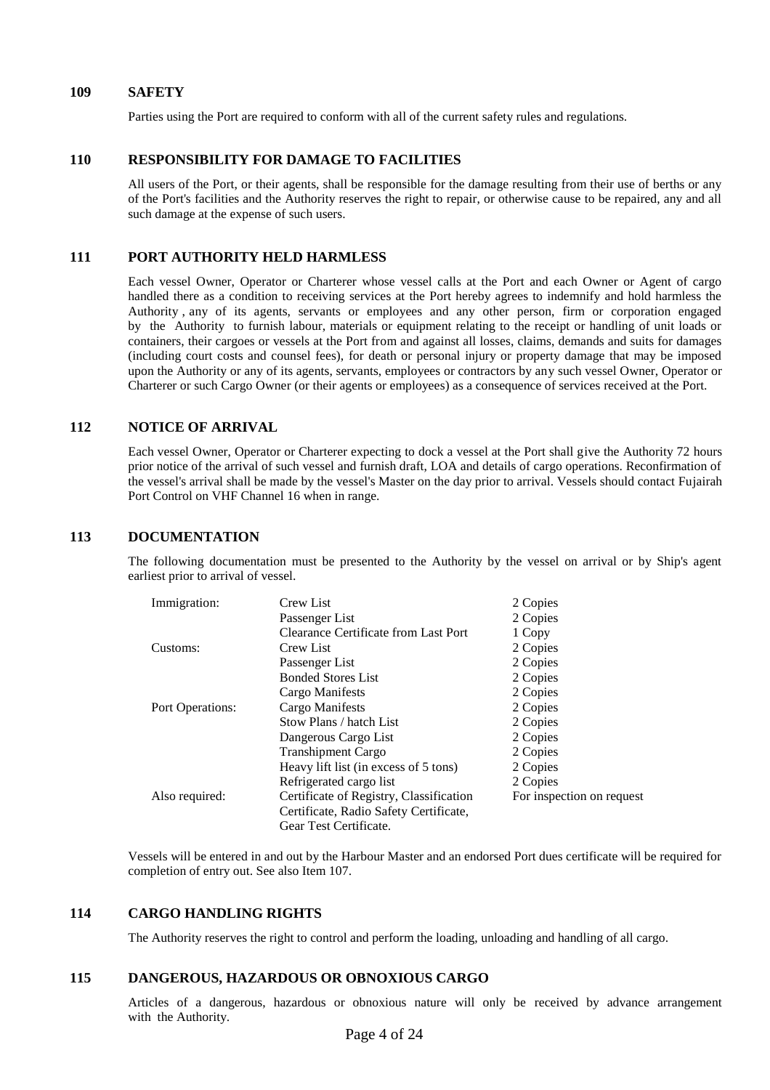#### **109 SAFETY**

Parties using the Port are required to conform with all of the current safety rules and regulations.

#### **110 RESPONSIBILITY FOR DAMAGE TO FACILITIES**

All users of the Port, or their agents, shall be responsible for the damage resulting from their use of berths or any of the Port's facilities and the Authority reserves the right to repair, or otherwise cause to be repaired, any and all such damage at the expense of such users.

#### **111 PORT AUTHORITY HELD HARMLESS**

Each vessel Owner, Operator or Charterer whose vessel calls at the Port and each Owner or Agent of cargo handled there as a condition to receiving services at the Port hereby agrees to indemnify and hold harmless the Authority , any of its agents, servants or employees and any other person, firm or corporation engaged by the Authority to furnish labour, materials or equipment relating to the receipt or handling of unit loads or containers, their cargoes or vessels at the Port from and against all losses, claims, demands and suits for damages (including court costs and counsel fees), for death or personal injury or property damage that may be imposed upon the Authority or any of its agents, servants, employees or contractors by any such vessel Owner, Operator or Charterer or such Cargo Owner (or their agents or employees) as a consequence of services received at the Port.

#### **112 NOTICE OF ARRIVAL**

Each vessel Owner, Operator or Charterer expecting to dock a vessel at the Port shall give the Authority 72 hours prior notice of the arrival of such vessel and furnish draft, LOA and details of cargo operations. Reconfirmation of the vessel's arrival shall be made by the vessel's Master on the day prior to arrival. Vessels should contact Fujairah Port Control on VHF Channel 16 when in range.

#### **113 DOCUMENTATION**

The following documentation must be presented to the Authority by the vessel on arrival or by Ship's agent earliest prior to arrival of vessel.

| Immigration:     | Crew List                               | 2 Copies                  |
|------------------|-----------------------------------------|---------------------------|
|                  | Passenger List                          | 2 Copies                  |
|                  | Clearance Certificate from Last Port    | 1 Copy                    |
| Customs:         | Crew List                               | 2 Copies                  |
|                  | Passenger List                          | 2 Copies                  |
|                  | <b>Bonded Stores List</b>               | 2 Copies                  |
|                  | Cargo Manifests                         | 2 Copies                  |
| Port Operations: | Cargo Manifests                         | 2 Copies                  |
|                  | Stow Plans / hatch List                 | 2 Copies                  |
|                  | Dangerous Cargo List                    | 2 Copies                  |
|                  | <b>Transhipment Cargo</b>               | 2 Copies                  |
|                  | Heavy lift list (in excess of 5 tons)   | 2 Copies                  |
|                  | Refrigerated cargo list                 | 2 Copies                  |
| Also required:   | Certificate of Registry, Classification | For inspection on request |
|                  | Certificate, Radio Safety Certificate,  |                           |
|                  | Gear Test Certificate.                  |                           |

Vessels will be entered in and out by the Harbour Master and an endorsed Port dues certificate will be required for completion of entry out. See also Item 107.

#### **114 CARGO HANDLING RIGHTS**

The Authority reserves the right to control and perform the loading, unloading and handling of all cargo.

#### **115 DANGEROUS, HAZARDOUS OR OBNOXIOUS CARGO**

Articles of a dangerous, hazardous or obnoxious nature will only be received by advance arrangement with the Authority.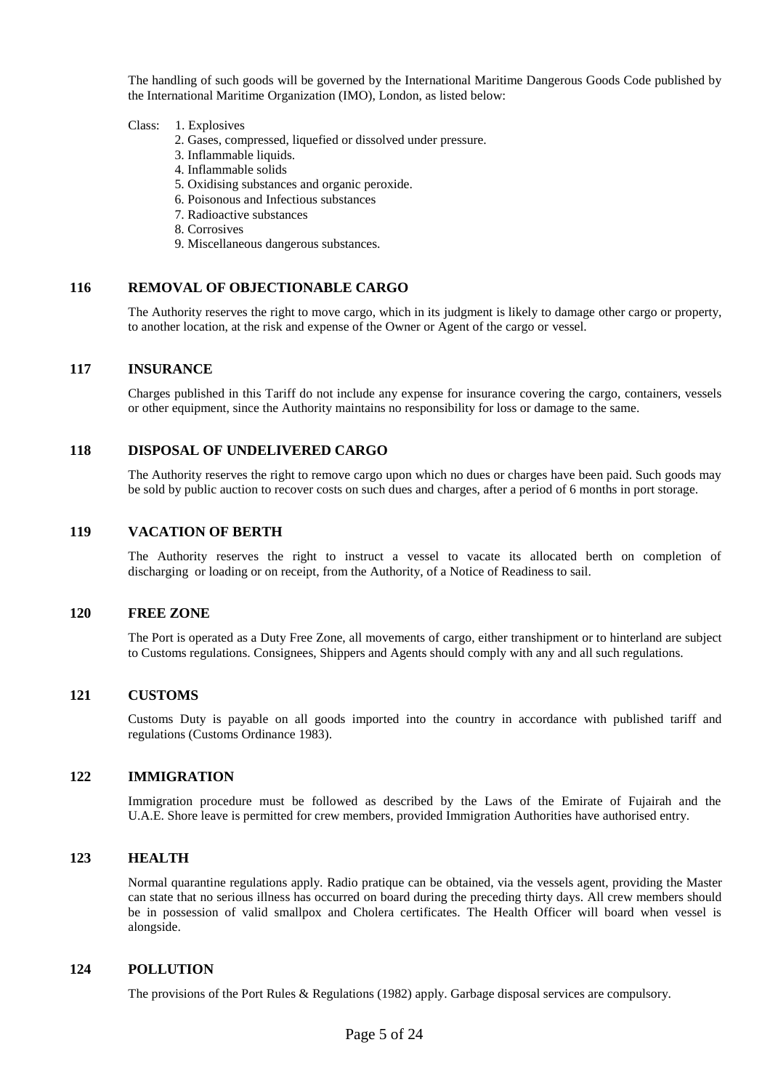The handling of such goods will be governed by the International Maritime Dangerous Goods Code published by the International Maritime Organization (IMO), London, as listed below:

#### Class: 1. Explosives

- 2. Gases, compressed, liquefied or dissolved under pressure.
- 3. Inflammable liquids.
- 4. Inflammable solids
- 5. Oxidising substances and organic peroxide.
- 6. Poisonous and Infectious substances
- 7. Radioactive substances
- 8. Corrosives
- 9. Miscellaneous dangerous substances.

#### **116 REMOVAL OF OBJECTIONABLE CARGO**

The Authority reserves the right to move cargo, which in its judgment is likely to damage other cargo or property, to another location, at the risk and expense of the Owner or Agent of the cargo or vessel.

#### **117 INSURANCE**

Charges published in this Tariff do not include any expense for insurance covering the cargo, containers, vessels or other equipment, since the Authority maintains no responsibility for loss or damage to the same.

#### **118 DISPOSAL OF UNDELIVERED CARGO**

The Authority reserves the right to remove cargo upon which no dues or charges have been paid. Such goods may be sold by public auction to recover costs on such dues and charges, after a period of 6 months in port storage.

#### **119 VACATION OF BERTH**

The Authority reserves the right to instruct a vessel to vacate its allocated berth on completion of discharging or loading or on receipt, from the Authority, of a Notice of Readiness to sail.

#### **120 FREE ZONE**

The Port is operated as a Duty Free Zone, all movements of cargo, either transhipment or to hinterland are subject to Customs regulations. Consignees, Shippers and Agents should comply with any and all such regulations.

#### **121 CUSTOMS**

Customs Duty is payable on all goods imported into the country in accordance with published tariff and regulations (Customs Ordinance 1983).

#### **122 IMMIGRATION**

Immigration procedure must be followed as described by the Laws of the Emirate of Fujairah and the U.A.E. Shore leave is permitted for crew members, provided Immigration Authorities have authorised entry.

#### **123 HEALTH**

Normal quarantine regulations apply. Radio pratique can be obtained, via the vessels agent, providing the Master can state that no serious illness has occurred on board during the preceding thirty days. All crew members should be in possession of valid smallpox and Cholera certificates. The Health Officer will board when vessel is alongside.

#### **124 POLLUTION**

The provisions of the Port Rules & Regulations (1982) apply. Garbage disposal services are compulsory.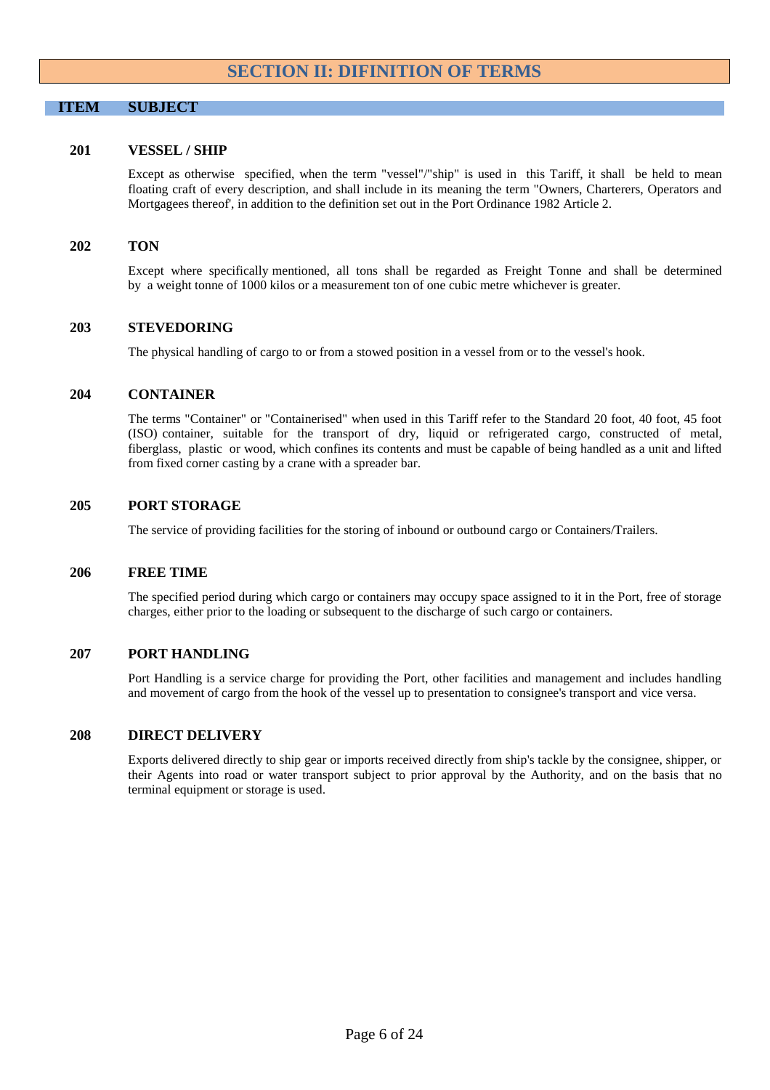#### **SECTION II: DIFINITION OF TERMS**

#### <span id="page-5-0"></span>**ITEM SUBJECT**

#### **201 VESSEL / SHIP**

Except as otherwise specified, when the term "vessel"/"ship" is used in this Tariff, it shall be held to mean floating craft of every description, and shall include in its meaning the term "Owners, Charterers, Operators and Mortgagees thereof', in addition to the definition set out in the Port Ordinance 1982 Article 2.

#### **202 TON**

Except where specifically mentioned, all tons shall be regarded as Freight Tonne and shall be determined by a weight tonne of 1000 kilos or a measurement ton of one cubic metre whichever is greater.

#### **203 STEVEDORING**

The physical handling of cargo to or from a stowed position in a vessel from or to the vessel's hook.

#### **204 CONTAINER**

The terms "Container" or "Containerised" when used in this Tariff refer to the Standard 20 foot, 40 foot, 45 foot (ISO) container, suitable for the transport of dry, liquid or refrigerated cargo, constructed of metal, fiberglass, plastic or wood, which confines its contents and must be capable of being handled as a unit and lifted from fixed corner casting by a crane with a spreader bar.

#### **205 PORT STORAGE**

The service of providing facilities for the storing of inbound or outbound cargo or Containers/Trailers.

#### **206 FREE TIME**

The specified period during which cargo or containers may occupy space assigned to it in the Port, free of storage charges, either prior to the loading or subsequent to the discharge of such cargo or containers.

#### **207 PORT HANDLING**

Port Handling is a service charge for providing the Port, other facilities and management and includes handling and movement of cargo from the hook of the vessel up to presentation to consignee's transport and vice versa.

#### **208 DIRECT DELIVERY**

Exports delivered directly to ship gear or imports received directly from ship's tackle by the consignee, shipper, or their Agents into road or water transport subject to prior approval by the Authority, and on the basis that no terminal equipment or storage is used.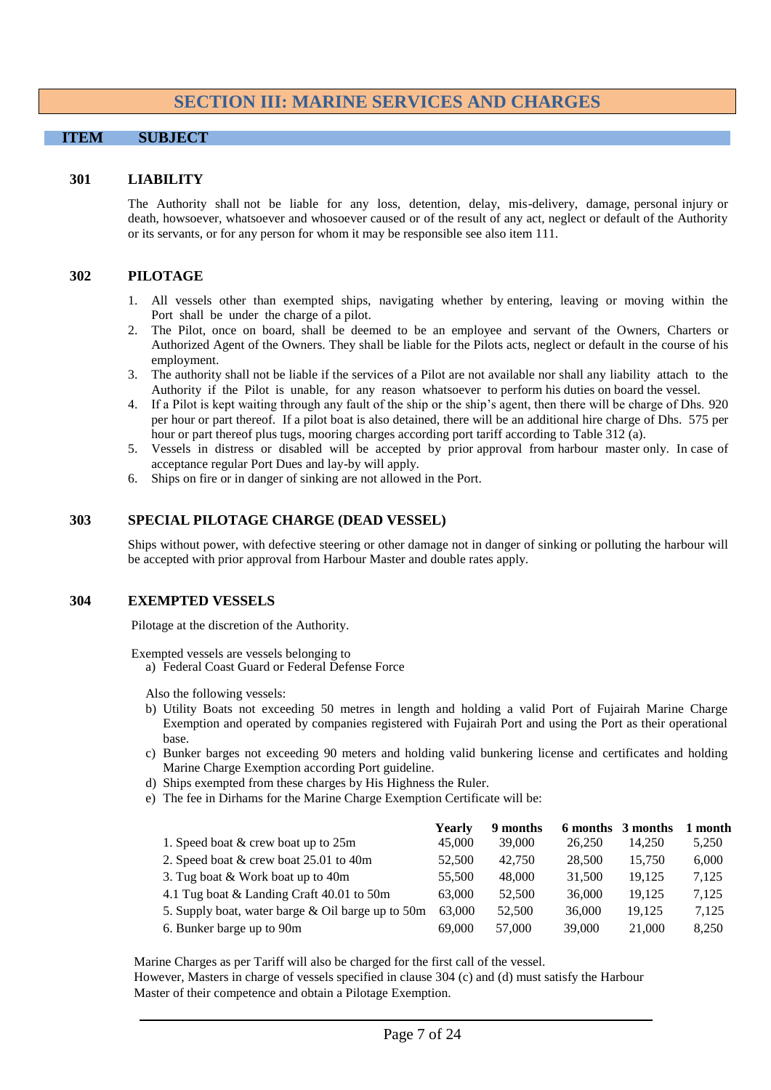#### <span id="page-6-0"></span>**SECTION III: MARINE SERVICES AND CHARGES**

#### **ITEM SUBJECT**

#### **301 LIABILITY**

The Authority shall not be liable for any loss, detention, delay, mis-delivery, damage, personal injury or death, howsoever, whatsoever and whosoever caused or of the result of any act, neglect or default of the Authority or its servants, or for any person for whom it may be responsible see also item 111.

#### **302 PILOTAGE**

- 1. All vessels other than exempted ships, navigating whether by entering, leaving or moving within the Port shall be under the charge of a pilot.
- 2. The Pilot, once on board, shall be deemed to be an employee and servant of the Owners, Charters or Authorized Agent of the Owners. They shall be liable for the Pilots acts, neglect or default in the course of his employment.
- 3. The authority shall not be liable if the services of a Pilot are not available nor shall any liability attach to the Authority if the Pilot is unable, for any reason whatsoever to perform his duties on board the vessel.
- 4. If a Pilot is kept waiting through any fault of the ship or the ship's agent, then there will be charge of Dhs. 920 per hour or part thereof. If a pilot boat is also detained, there will be an additional hire charge of Dhs. 575 per hour or part thereof plus tugs, mooring charges according port tariff according to Table 312 (a).
- 5. Vessels in distress or disabled will be accepted by prior approval from harbour master only. In case of acceptance regular Port Dues and lay-by will apply.
- 6. Ships on fire or in danger of sinking are not allowed in the Port.

#### **303 SPECIAL PILOTAGE CHARGE (DEAD VESSEL)**

Ships without power, with defective steering or other damage not in danger of sinking or polluting the harbour will be accepted with prior approval from Harbour Master and double rates apply.

#### **304 EXEMPTED VESSELS**

Pilotage at the discretion of the Authority.

Exempted vessels are vessels belonging to

a) Federal Coast Guard or Federal Defense Force

Also the following vessels:

- b) Utility Boats not exceeding 50 metres in length and holding a valid Port of Fujairah Marine Charge Exemption and operated by companies registered with Fujairah Port and using the Port as their operational base.
- c) Bunker barges not exceeding 90 meters and holding valid bunkering license and certificates and holding Marine Charge Exemption according Port guideline.
- d) Ships exempted from these charges by His Highness the Ruler.
- e) The fee in Dirhams for the Marine Charge Exemption Certificate will be:

|                                                   | Yearly | 9 months | 6 months | 3 months | month |
|---------------------------------------------------|--------|----------|----------|----------|-------|
| 1. Speed boat & crew boat up to 25m               | 45,000 | 39,000   | 26,250   | 14.250   | 5,250 |
| 2. Speed boat & crew boat 25.01 to 40m            | 52,500 | 42,750   | 28,500   | 15.750   | 6,000 |
| 3. Tug boat & Work boat up to 40m                 | 55,500 | 48,000   | 31,500   | 19.125   | 7,125 |
| 4.1 Tug boat & Landing Craft 40.01 to 50m         | 63,000 | 52,500   | 36,000   | 19.125   | 7.125 |
| 5. Supply boat, water barge & Oil barge up to 50m | 63,000 | 52,500   | 36,000   | 19.125   | 7.125 |
| 6. Bunker barge up to 90m                         | 69,000 | 57,000   | 39,000   | 21,000   | 8.250 |

Marine Charges as per Tariff will also be charged for the first call of the vessel.

However, Masters in charge of vessels specified in clause 304 (c) and (d) must satisfy the Harbour Master of their competence and obtain a Pilotage Exemption.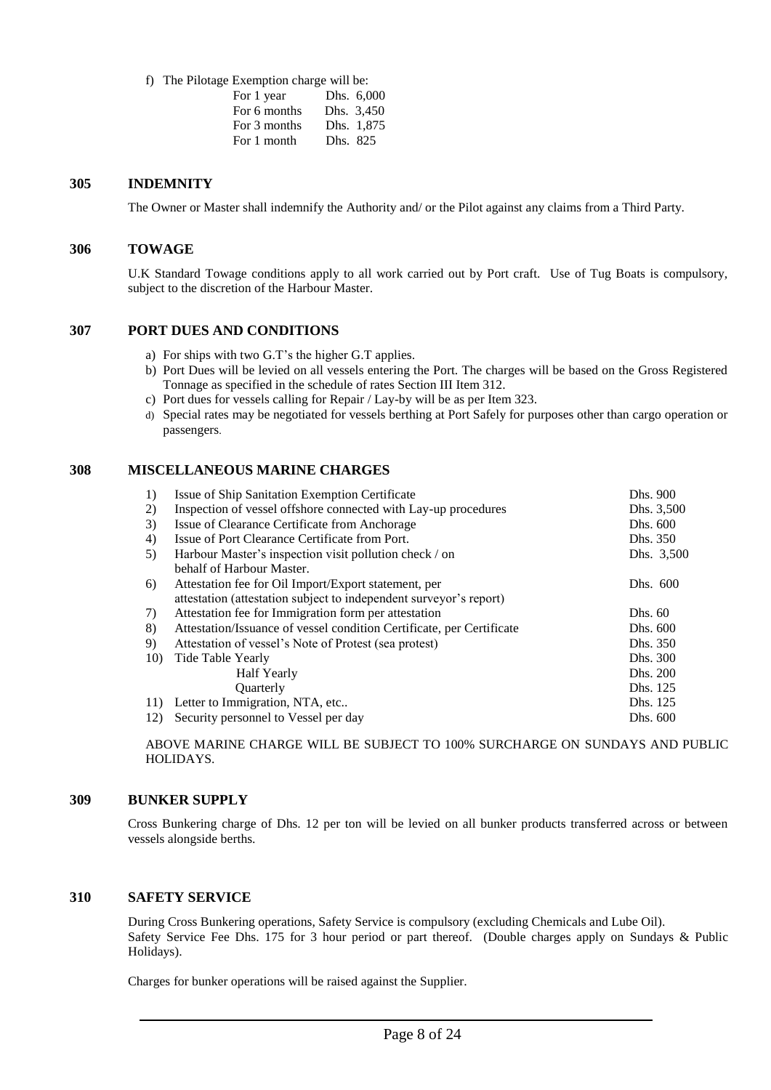f) The Pilotage Exemption charge will be:

| For 1 year   |          | Dhs. 6,000 |
|--------------|----------|------------|
| For 6 months |          | Dhs. 3,450 |
| For 3 months |          | Dhs. 1,875 |
| For 1 month  | Dhs. 825 |            |

#### **305 INDEMNITY**

The Owner or Master shall indemnify the Authority and/ or the Pilot against any claims from a Third Party.

#### **306 TOWAGE**

U.K Standard Towage conditions apply to all work carried out by Port craft. Use of Tug Boats is compulsory, subject to the discretion of the Harbour Master.

#### **307 PORT DUES AND CONDITIONS**

- a) For ships with two G.T's the higher G.T applies.
- b) Port Dues will be levied on all vessels entering the Port. The charges will be based on the Gross Registered Tonnage as specified in the schedule of rates Section III Item 312.
- c) Port dues for vessels calling for Repair / Lay-by will be as per Item 323.
- d) Special rates may be negotiated for vessels berthing at Port Safely for purposes other than cargo operation or passengers.

#### **308 MISCELLANEOUS MARINE CHARGES**

| 1)  | Issue of Ship Sanitation Exemption Certificate                        | Dhs. 900   |
|-----|-----------------------------------------------------------------------|------------|
| 2)  | Inspection of vessel offshore connected with Lay-up procedures        | Dhs. 3,500 |
| 3)  | Issue of Clearance Certificate from Anchorage                         | Dhs. 600   |
| 4)  | Issue of Port Clearance Certificate from Port.                        | Dhs. 350   |
| 5)  | Harbour Master's inspection visit pollution check / on                | Dhs. 3,500 |
|     | behalf of Harbour Master.                                             |            |
| 6)  | Attestation fee for Oil Import/Export statement, per                  | Dhs. 600   |
|     | attestation (attestation subject to independent surveyor's report)    |            |
| 7)  | Attestation fee for Immigration form per attestation                  | Dhs. 60    |
| 8)  | Attestation/Issuance of vessel condition Certificate, per Certificate | Dhs. 600   |
| 9)  | Attestation of vessel's Note of Protest (sea protest)                 | Dhs. 350   |
| 10) | Tide Table Yearly                                                     | Dhs. 300   |
|     | Half Yearly                                                           | Dhs. 200   |
|     | Quarterly                                                             | Dhs. 125   |
| 11) | Letter to Immigration, NTA, etc                                       | Dhs. 125   |
| 12) | Security personnel to Vessel per day                                  | Dhs. 600   |

ABOVE MARINE CHARGE WILL BE SUBJECT TO 100% SURCHARGE ON SUNDAYS AND PUBLIC HOLIDAYS.

#### **309 BUNKER SUPPLY**

Cross Bunkering charge of Dhs. 12 per ton will be levied on all bunker products transferred across or between vessels alongside berths.

#### **310 SAFETY SERVICE**

During Cross Bunkering operations, Safety Service is compulsory (excluding Chemicals and Lube Oil). Safety Service Fee Dhs. 175 for 3 hour period or part thereof. (Double charges apply on Sundays & Public Holidays).

Charges for bunker operations will be raised against the Supplier.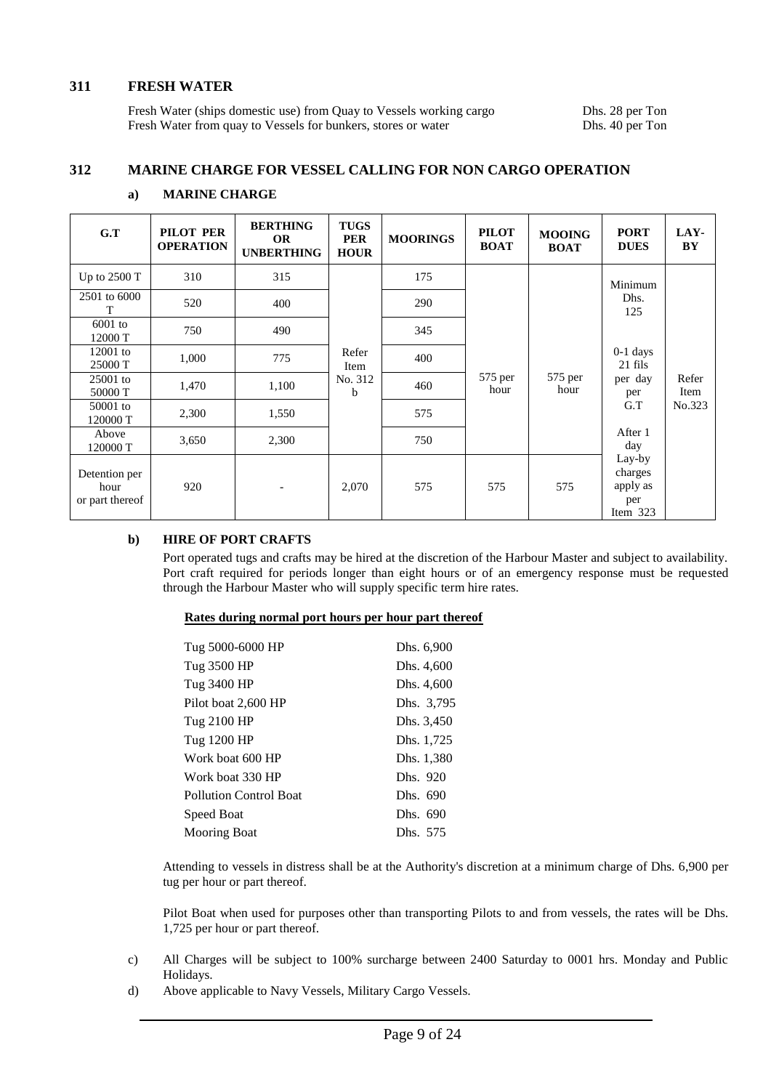#### **311 FRESH WATER**

Fresh Water (ships domestic use) from Quay to Vessels working cargo Dhs. 28 per Ton Fresh Water from quay to Vessels for bunkers, stores or water Dhs. 40 per Ton Fresh Water from quay to Vessels for bunkers, stores or water

#### **312 MARINE CHARGE FOR VESSEL CALLING FOR NON CARGO OPERATION**

| G.T                                      | PILOT PER<br><b>OPERATION</b> | <b>BERTHING</b><br><b>OR</b><br><b>UNBERTHING</b> | <b>TUGS</b><br><b>PER</b><br><b>HOUR</b> | <b>MOORINGS</b> | <b>PILOT</b><br><b>BOAT</b> | <b>MOOING</b><br><b>BOAT</b> | <b>PORT</b><br><b>DUES</b>                         | LAY-<br>BY    |
|------------------------------------------|-------------------------------|---------------------------------------------------|------------------------------------------|-----------------|-----------------------------|------------------------------|----------------------------------------------------|---------------|
| Up to $2500T$                            | 310                           | 315                                               |                                          | 175             |                             |                              | Minimum                                            |               |
| 2501 to 6000<br>T                        | 520                           | 400                                               |                                          | 290             |                             |                              | Dhs.<br>125                                        |               |
| $6001$ to<br>12000 T                     | 750                           | 490                                               |                                          | 345             |                             |                              |                                                    |               |
| $12001$ to<br>25000 T                    | 1,000                         | 775                                               | Refer<br>Item                            | 400             |                             |                              | $0-1$ days<br>21 fils                              |               |
| $25001$ to<br>50000 T                    | 1,470                         | 1,100                                             | No. 312<br>b                             | 460             | 575 per<br>hour             | 575 per<br>hour              | per day<br>per                                     | Refer<br>Item |
| 50001 to<br>120000 T                     | 2,300                         | 1,550                                             |                                          | 575             |                             |                              | G.T                                                | No.323        |
| Above<br>120000 T                        | 3,650                         | 2,300                                             |                                          | 750             |                             |                              | After 1<br>day                                     |               |
| Detention per<br>hour<br>or part thereof | 920                           | $\overline{\phantom{a}}$                          | 2,070                                    | 575             | 575                         | 575                          | Lay-by<br>charges<br>apply as<br>per<br>Item $323$ |               |

#### **a) MARINE CHARGE**

#### **b) HIRE OF PORT CRAFTS**

Port operated tugs and crafts may be hired at the discretion of the Harbour Master and subject to availability. Port craft required for periods longer than eight hours or of an emergency response must be requested through the Harbour Master who will supply specific term hire rates.

#### **Rates during normal port hours per hour part thereof**

| Tug 5000-6000 HP       | Dhs. 6,900 |
|------------------------|------------|
| Tug 3500 HP            | Dhs. 4,600 |
| Tug 3400 HP            | Dhs. 4,600 |
| Pilot boat 2,600 HP    | Dhs. 3,795 |
| Tug 2100 HP            | Dhs. 3,450 |
| Tug 1200 HP            | Dhs. 1,725 |
| Work boat 600 HP       | Dhs. 1,380 |
| Work boat 330 HP       | Dhs. 920   |
| Pollution Control Boat | Dhs. 690   |
| Speed Boat             | Dhs. 690   |
| <b>Mooring Boat</b>    | Dhs. 575   |

Attending to vessels in distress shall be at the Authority's discretion at a minimum charge of Dhs. 6,900 per tug per hour or part thereof.

Pilot Boat when used for purposes other than transporting Pilots to and from vessels, the rates will be Dhs. 1,725 per hour or part thereof.

- c) All Charges will be subject to 100% surcharge between 2400 Saturday to 0001 hrs. Monday and Public Holidays.
- d) Above applicable to Navy Vessels, Military Cargo Vessels.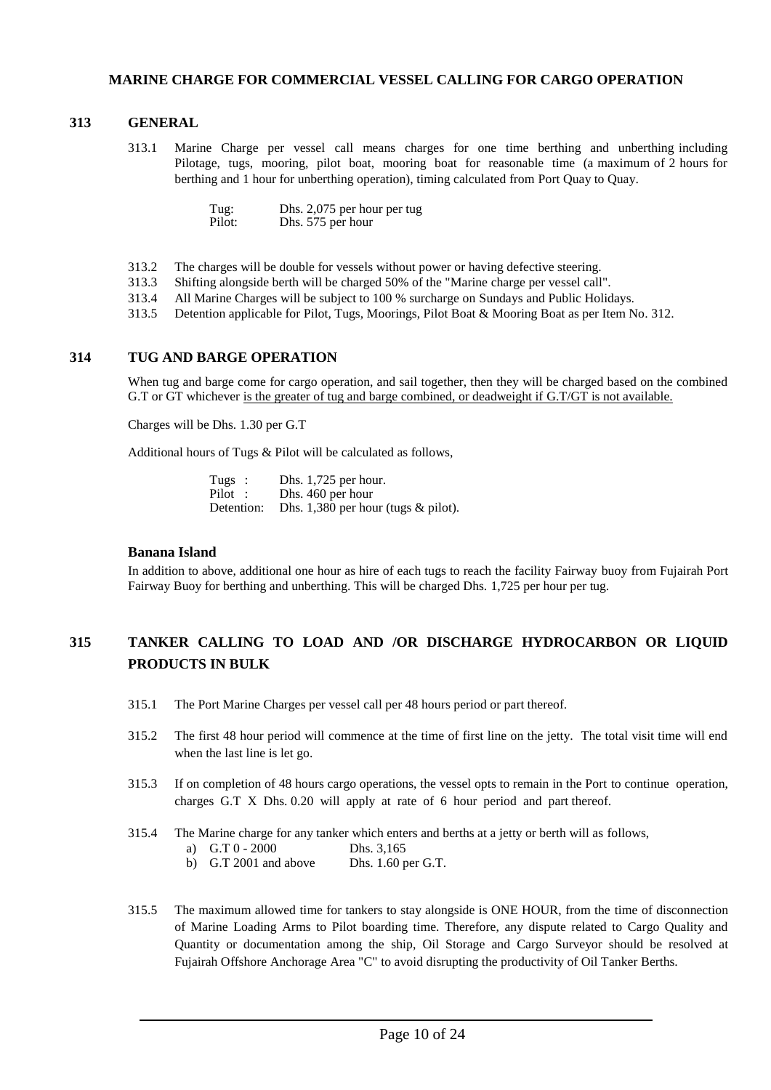#### **MARINE CHARGE FOR COMMERCIAL VESSEL CALLING FOR CARGO OPERATION**

#### **313 GENERAL**

313.1 Marine Charge per vessel call means charges for one time berthing and unberthing including Pilotage, tugs, mooring, pilot boat, mooring boat for reasonable time (a maximum of 2 hours for berthing and 1 hour for unberthing operation), timing calculated from Port Quay to Quay.

| Tug:   | Dhs. 2,075 per hour per tug |
|--------|-----------------------------|
| Pilot: | Dhs. 575 per hour           |

- 313.2 The charges will be double for vessels without power or having defective steering.
- 313.3 Shifting alongside berth will be charged 50% of the "Marine charge per vessel call".
- 313.4 All Marine Charges will be subject to 100 % surcharge on Sundays and Public Holidays.
- 313.5 Detention applicable for Pilot, Tugs, Moorings, Pilot Boat & Mooring Boat as per Item No. 312.

#### **314 TUG AND BARGE OPERATION**

When tug and barge come for cargo operation, and sail together, then they will be charged based on the combined G.T or GT whichever is the greater of tug and barge combined, or deadweight if G.T/GT is not available.

Charges will be Dhs. 1.30 per G.T

Additional hours of Tugs & Pilot will be calculated as follows,

| Tugs :     | Dhs. $1,725$ per hour.                |
|------------|---------------------------------------|
| Pilot:     | Dhs. 460 per hour                     |
| Detention: | Dhs. $1,380$ per hour (tugs & pilot). |

#### **Banana Island**

In addition to above, additional one hour as hire of each tugs to reach the facility Fairway buoy from Fujairah Port Fairway Buoy for berthing and unberthing. This will be charged Dhs. 1,725 per hour per tug.

## **315 TANKER CALLING TO LOAD AND /OR DISCHARGE HYDROCARBON OR LIQUID PRODUCTS IN BULK**

- 315.1 The Port Marine Charges per vessel call per 48 hours period or part thereof.
- 315.2 The first 48 hour period will commence at the time of first line on the jetty. The total visit time will end when the last line is let go.
- 315.3 If on completion of 48 hours cargo operations, the vessel opts to remain in the Port to continue operation, charges G.T X Dhs. 0.20 will apply at rate of 6 hour period and part thereof.
- 315.4 The Marine charge for any tanker which enters and berths at a jetty or berth will as follows,
	- a) G.T 0 2000 Dhs. 3,165
	- b) G.T 2001 and above Dhs. 1.60 per G.T.
- 315.5 The maximum allowed time for tankers to stay alongside is ONE HOUR, from the time of disconnection of Marine Loading Arms to Pilot boarding time. Therefore, any dispute related to Cargo Quality and Quantity or documentation among the ship, Oil Storage and Cargo Surveyor should be resolved at Fujairah Offshore Anchorage Area "C" to avoid disrupting the productivity of Oil Tanker Berths.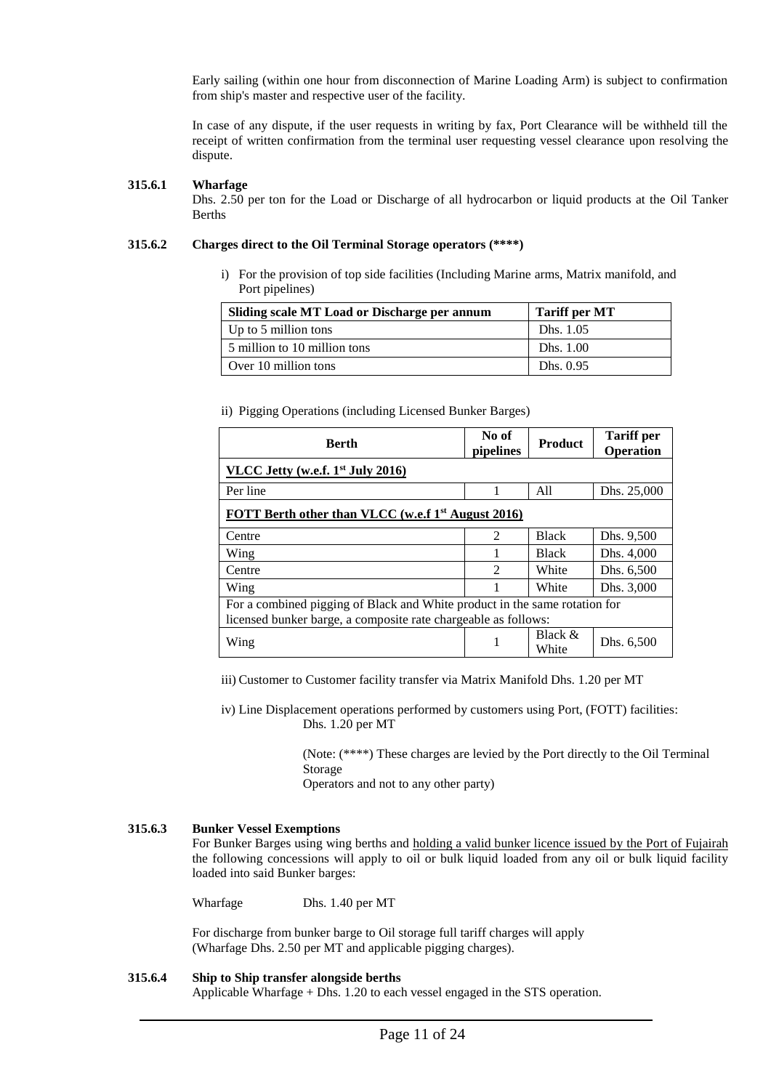Early sailing (within one hour from disconnection of Marine Loading Arm) is subject to confirmation from ship's master and respective user of the facility.

In case of any dispute, if the user requests in writing by fax, Port Clearance will be withheld till the receipt of written confirmation from the terminal user requesting vessel clearance upon resolving the dispute.

#### **315.6.1 Wharfage**

Dhs. 2.50 per ton for the Load or Discharge of all hydrocarbon or liquid products at the Oil Tanker Berths

#### **315.6.2 Charges direct to the Oil Terminal Storage operators (\*\*\*\*)**

i) For the provision of top side facilities (Including Marine arms, Matrix manifold, and Port pipelines)

| Sliding scale MT Load or Discharge per annum | <b>Tariff per MT</b> |
|----------------------------------------------|----------------------|
| Up to 5 million tons                         | Dhs. 1.05            |
| 5 million to 10 million tons                 | Dhs. 1.00            |
| Over 10 million tons                         | Dhs. $0.95$          |

ii) Pigging Operations (including Licensed Bunker Barges)

| <b>Berth</b>                                                               | No of<br>pipelines                                             | Product            | <b>Tariff</b> per<br>Operation |  |  |  |
|----------------------------------------------------------------------------|----------------------------------------------------------------|--------------------|--------------------------------|--|--|--|
| VLCC Jetty (w.e.f. $1st$ July 2016)                                        |                                                                |                    |                                |  |  |  |
| Per line                                                                   |                                                                | A11                | Dhs. 25,000                    |  |  |  |
|                                                                            | FOTT Berth other than VLCC (w.e.f 1 <sup>st</sup> August 2016) |                    |                                |  |  |  |
| Centre                                                                     | $\mathfrak{D}$                                                 | <b>Black</b>       | Dhs. 9,500                     |  |  |  |
| Wing                                                                       |                                                                | <b>Black</b>       | Dhs. 4,000                     |  |  |  |
| Centre                                                                     | $\mathfrak{D}$                                                 | White              | Dhs. 6,500                     |  |  |  |
| Wing                                                                       |                                                                | White              | Dhs. 3,000                     |  |  |  |
| For a combined pigging of Black and White product in the same rotation for |                                                                |                    |                                |  |  |  |
| licensed bunker barge, a composite rate chargeable as follows:             |                                                                |                    |                                |  |  |  |
| Wing                                                                       |                                                                | Black $&$<br>White | Dhs. 6,500                     |  |  |  |

iii) Customer to Customer facility transfer via Matrix Manifold Dhs. 1.20 per MT

iv) Line Displacement operations performed by customers using Port, (FOTT) facilities: Dhs. 1.20 per MT

> (Note: (\*\*\*\*) These charges are levied by the Port directly to the Oil Terminal Storage

Operators and not to any other party)

#### **315.6.3 Bunker Vessel Exemptions**

For Bunker Barges using wing berths and holding a valid bunker licence issued by the Port of Fujairah the following concessions will apply to oil or bulk liquid loaded from any oil or bulk liquid facility loaded into said Bunker barges:

Wharfage Dhs. 1.40 per MT

For discharge from bunker barge to Oil storage full tariff charges will apply (Wharfage Dhs. 2.50 per MT and applicable pigging charges).

#### **315.6.4 Ship to Ship transfer alongside berths**

Applicable Wharfage + Dhs. 1.20 to each vessel engaged in the STS operation.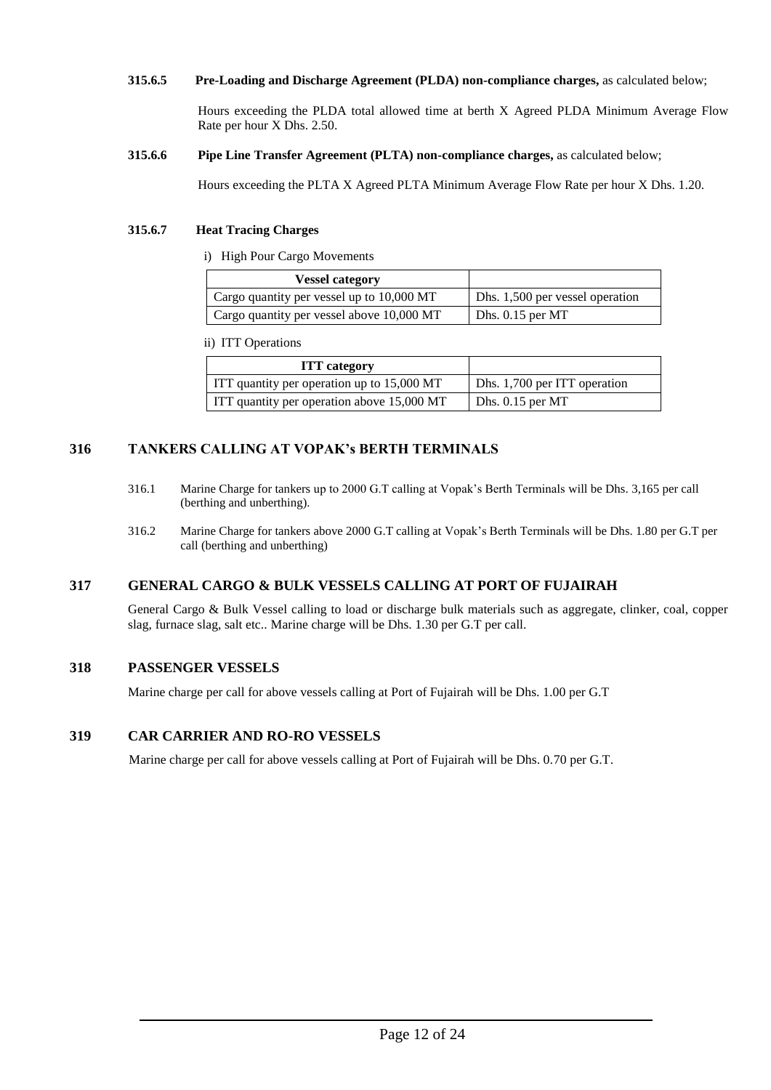#### **315.6.5 Pre-Loading and Discharge Agreement (PLDA) non-compliance charges,** as calculated below;

Hours exceeding the PLDA total allowed time at berth X Agreed PLDA Minimum Average Flow Rate per hour X Dhs. 2.50.

**315.6.6 Pipe Line Transfer Agreement (PLTA) non-compliance charges,** as calculated below;

Hours exceeding the PLTA X Agreed PLTA Minimum Average Flow Rate per hour X Dhs. 1.20.

#### **315.6.7 Heat Tracing Charges**

i) High Pour Cargo Movements

| <b>Vessel category</b>                    |                                 |
|-------------------------------------------|---------------------------------|
| Cargo quantity per vessel up to 10,000 MT | Dhs. 1,500 per vessel operation |
| Cargo quantity per vessel above 10,000 MT | Dhs. $0.15$ per MT              |

ii) ITT Operations

| <b>ITT</b> category                        |                              |
|--------------------------------------------|------------------------------|
| TT quantity per operation up to 15,000 MT  | Dhs. 1,700 per ITT operation |
| TTT quantity per operation above 15,000 MT | Dhs. $0.15$ per MT           |

#### **316 TANKERS CALLING AT VOPAK's BERTH TERMINALS**

- 316.1 Marine Charge for tankers up to 2000 G.T calling at Vopak's Berth Terminals will be Dhs. 3,165 per call (berthing and unberthing).
- 316.2 Marine Charge for tankers above 2000 G.T calling at Vopak's Berth Terminals will be Dhs. 1.80 per G.T per call (berthing and unberthing)

#### **317 GENERAL CARGO & BULK VESSELS CALLING AT PORT OF FUJAIRAH**

General Cargo & Bulk Vessel calling to load or discharge bulk materials such as aggregate, clinker, coal, copper slag, furnace slag, salt etc.. Marine charge will be Dhs. 1.30 per G.T per call.

#### **318 PASSENGER VESSELS**

Marine charge per call for above vessels calling at Port of Fujairah will be Dhs. 1.00 per G.T

#### **319 CAR CARRIER AND RO-RO VESSELS**

Marine charge per call for above vessels calling at Port of Fujairah will be Dhs. 0.70 per G.T.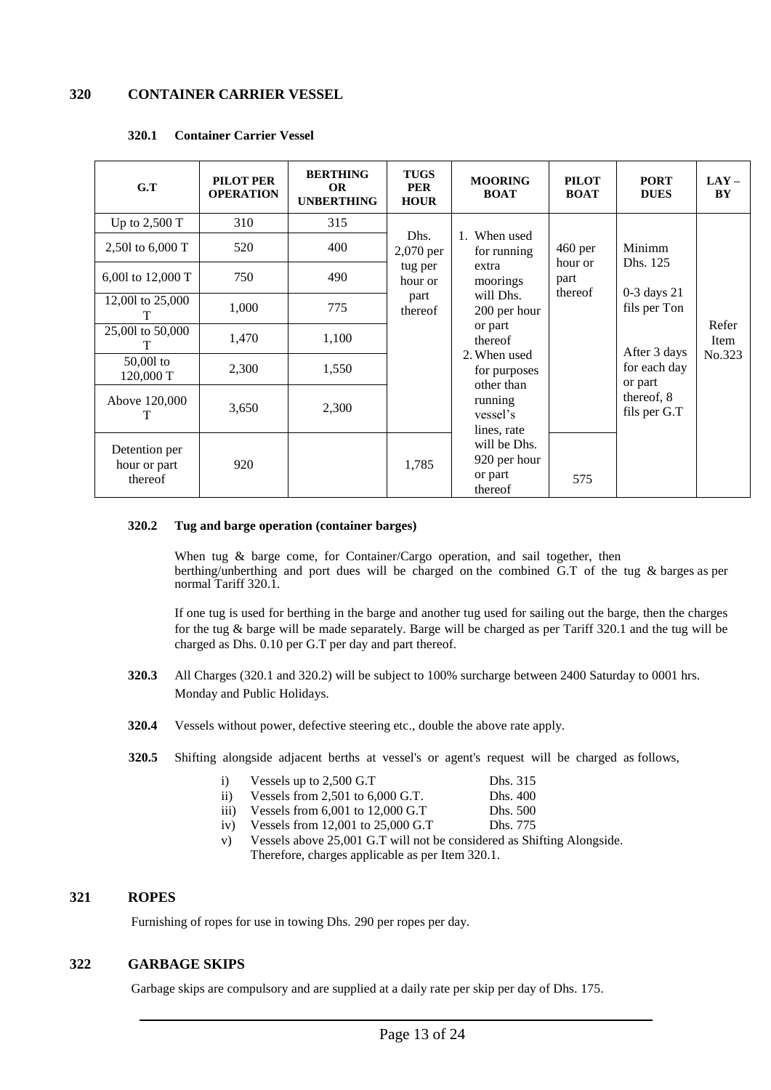#### **320 CONTAINER CARRIER VESSEL**

| G.T                                      | PILOT PER<br><b>OPERATION</b> | <b>BERTHING</b><br><b>OR</b><br><b>UNBERTHING</b> | <b>TUGS</b><br><b>PER</b><br><b>HOUR</b> | <b>MOORING</b><br><b>BOAT</b>                      | <b>PILOT</b><br><b>BOAT</b> | <b>PORT</b><br><b>DUES</b>      | $LAY -$<br>BY        |
|------------------------------------------|-------------------------------|---------------------------------------------------|------------------------------------------|----------------------------------------------------|-----------------------------|---------------------------------|----------------------|
| Up to $2,500$ T                          | 310                           | 315                                               |                                          |                                                    |                             |                                 |                      |
| 2,501 to 6,000 T                         | 520                           | 400                                               | Dhs.<br>2,070 per                        | 1. When used<br>for running                        | $460$ per                   | Minimm                          |                      |
| 6,001 to 12,000 T                        | 750                           | 490                                               | tug per<br>hour or                       | extra<br>moorings                                  | hour or<br>part<br>thereof  | Dhs. 125                        |                      |
| 12,001 to 25,000<br>т                    | 1,000                         | 775                                               | part<br>thereof                          | will Dhs.<br>200 per hour                          |                             | $0-3$ days $21$<br>fils per Ton |                      |
| 25,001 to 50,000<br>т                    | 1,470                         | 1,100                                             |                                          | or part<br>thereof                                 |                             | After 3 days                    | Refer<br><b>Item</b> |
| $50,001$ to<br>120,000 T                 | 2,300                         | 1,550                                             |                                          | 2. When used<br>for purposes<br>other than         |                             | for each day<br>or part         | No.323               |
| Above 120,000<br>T                       | 3,650                         | 2,300                                             |                                          | running<br>vessel's<br>lines, rate                 |                             | thereof, 8<br>fils per G.T      |                      |
| Detention per<br>hour or part<br>thereof | 920                           |                                                   | 1,785                                    | will be Dhs.<br>920 per hour<br>or part<br>thereof | 575                         |                                 |                      |

#### **320.1 Container Carrier Vessel**

#### **320.2 Tug and barge operation (container barges)**

When tug & barge come, for Container/Cargo operation, and sail together, then berthing/unberthing and port dues will be charged on the combined G.T of the tug & barges as per normal Tariff 320.1.

If one tug is used for berthing in the barge and another tug used for sailing out the barge, then the charges for the tug & barge will be made separately. Barge will be charged as per Tariff 320.1 and the tug will be charged as Dhs. 0.10 per G.T per day and part thereof.

- **320.3** All Charges (320.1 and 320.2) will be subject to 100% surcharge between 2400 Saturday to 0001 hrs. Monday and Public Holidays.
- **320.4** Vessels without power, defective steering etc., double the above rate apply.
- **320.5** Shifting alongside adjacent berths at vessel's or agent's request will be charged as follows,

| $\mathbf{1}$     | Vessels up to 2,500 G.T                                   | Dhs. 315 |
|------------------|-----------------------------------------------------------|----------|
| $\rm ii)$        | Vessels from $2,501$ to $6,000$ G.T.                      | Dhs. 400 |
| $\overline{111}$ | Vessels from $6,001$ to $12,000$ G.T                      | Dhs. 500 |
| iv)              | Vessels from $12,001$ to $25,000$ G.T                     | Dhs. 775 |
| V                | Vessels above 25 001 G T will not be considered as Shifti |          |

'essels above 25,001 G.T will not be considered as Shifting Alongside. Therefore, charges applicable as per Item 320.1.

#### **321 ROPES**

Furnishing of ropes for use in towing Dhs. 290 per ropes per day.

#### **322 GARBAGE SKIPS**

Garbage skips are compulsory and are supplied at a daily rate per skip per day of Dhs. 175.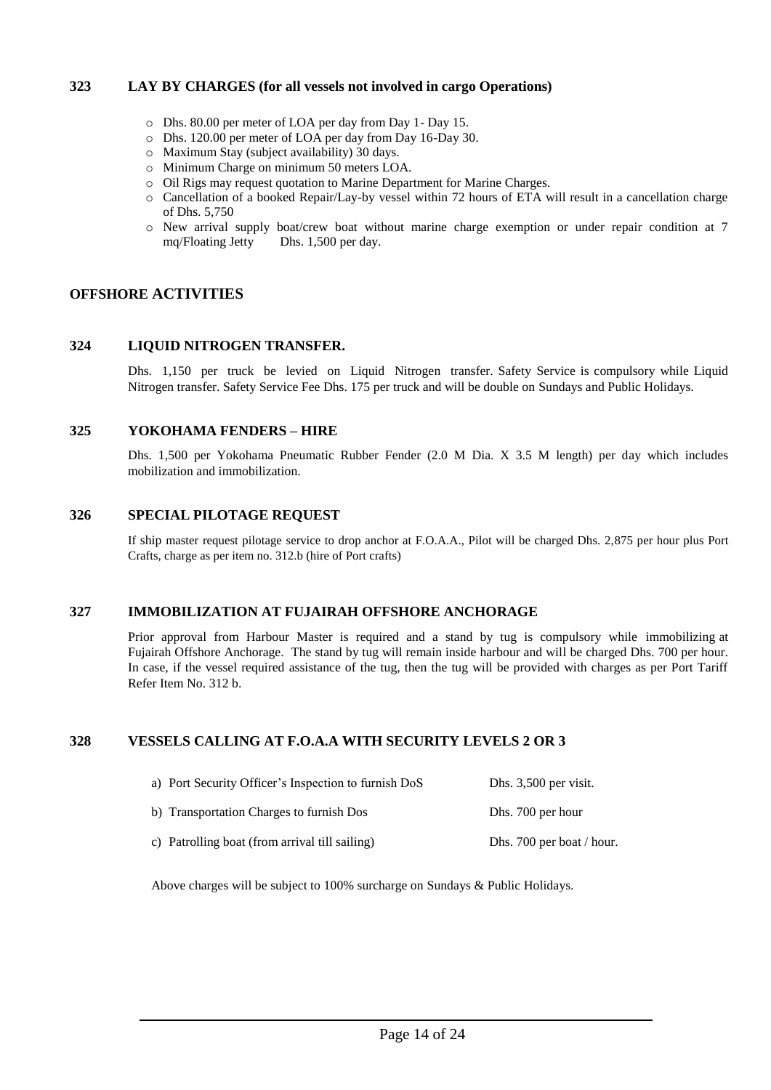#### **323 LAY BY CHARGES (for all vessels not involved in cargo Operations)**

- o Dhs. 80.00 per meter of LOA per day from Day 1- Day 15.
- o Dhs. 120.00 per meter of LOA per day from Day 16-Day 30.
- o Maximum Stay (subject availability) 30 days.
- o Minimum Charge on minimum 50 meters LOA.
- o Oil Rigs may request quotation to Marine Department for Marine Charges.
- o Cancellation of a booked Repair/Lay-by vessel within 72 hours of ETA will result in a cancellation charge of Dhs. 5,750
- o New arrival supply boat/crew boat without marine charge exemption or under repair condition at 7 mq/Floating Jetty Dhs. 1,500 per day.

#### **OFFSHORE ACTIVITIES**

#### **324 LIQUID NITROGEN TRANSFER.**

Dhs. 1,150 per truck be levied on Liquid Nitrogen transfer. Safety Service is compulsory while Liquid Nitrogen transfer. Safety Service Fee Dhs. 175 per truck and will be double on Sundays and Public Holidays.

#### **325 YOKOHAMA FENDERS – HIRE**

Dhs. 1,500 per Yokohama Pneumatic Rubber Fender (2.0 M Dia. X 3.5 M length) per day which includes mobilization and immobilization.

#### **326 SPECIAL PILOTAGE REQUEST**

If ship master request pilotage service to drop anchor at F.O.A.A., Pilot will be charged Dhs. 2,875 per hour plus Port Crafts, charge as per item no. 312.b (hire of Port crafts)

#### **327 IMMOBILIZATION AT FUJAIRAH OFFSHORE ANCHORAGE**

Prior approval from Harbour Master is required and a stand by tug is compulsory while immobilizing at Fujairah Offshore Anchorage. The stand by tug will remain inside harbour and will be charged Dhs. 700 per hour. In case, if the vessel required assistance of the tug, then the tug will be provided with charges as per Port Tariff Refer Item No. 312 b.

#### **328 VESSELS CALLING AT F.O.A.A WITH SECURITY LEVELS 2 OR 3**

| a) Port Security Officer's Inspection to furnish DoS | Dhs. 3,500 per visit.     |
|------------------------------------------------------|---------------------------|
| b) Transportation Charges to furnish Dos             | Dhs. 700 per hour         |
| c) Patrolling boat (from arrival till sailing)       | Dhs. 700 per boat / hour. |

Above charges will be subject to 100% surcharge on Sundays & Public Holidays.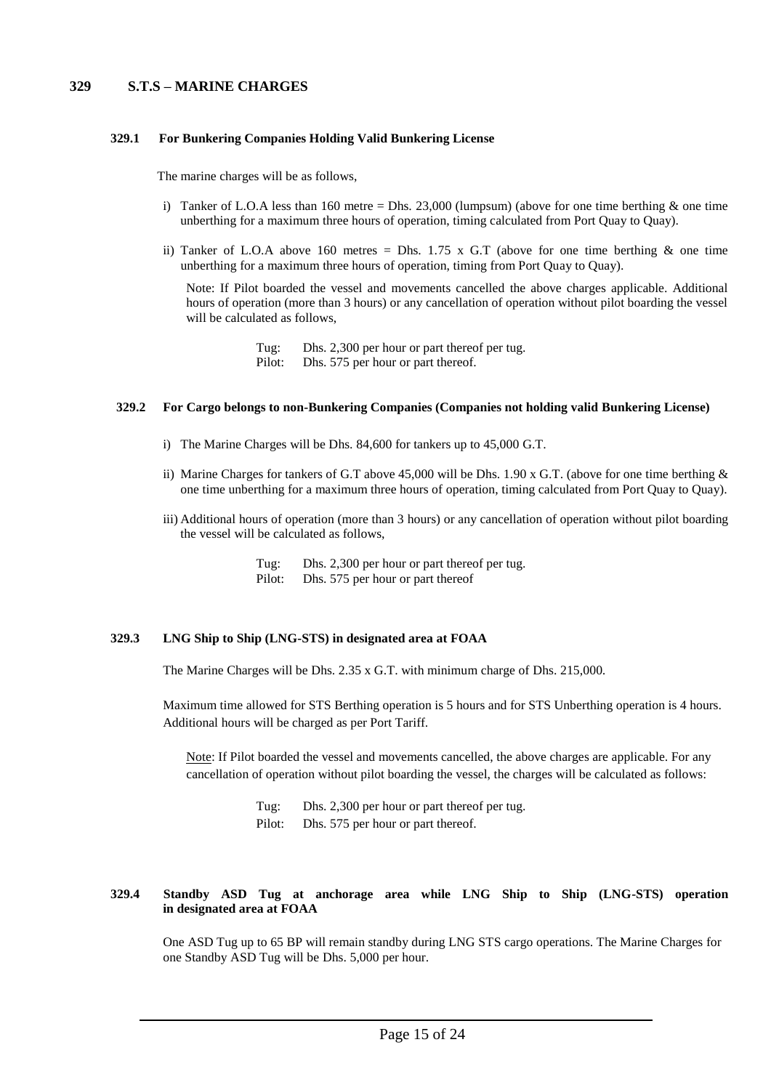#### **329 S.T.S – MARINE CHARGES**

#### **329.1 For Bunkering Companies Holding Valid Bunkering License**

The marine charges will be as follows,

- i) Tanker of L.O.A less than 160 metre = Dhs. 23,000 (lumpsum) (above for one time berthing  $\&$  one time unberthing for a maximum three hours of operation, timing calculated from Port Quay to Quay).
- ii) Tanker of L.O.A above 160 metres = Dhs. 1.75 x G.T (above for one time berthing  $\&$  one time unberthing for a maximum three hours of operation, timing from Port Quay to Quay).

Note: If Pilot boarded the vessel and movements cancelled the above charges applicable. Additional hours of operation (more than 3 hours) or any cancellation of operation without pilot boarding the vessel will be calculated as follows,

> Tug: Dhs. 2,300 per hour or part thereof per tug. Pilot: Dhs. 575 per hour or part thereof.

#### **329.2 For Cargo belongs to non-Bunkering Companies (Companies not holding valid Bunkering License)**

- i) The Marine Charges will be Dhs. 84,600 for tankers up to 45,000 G.T.
- ii) Marine Charges for tankers of G.T above 45,000 will be Dhs. 1.90 x G.T. (above for one time berthing  $\&$ one time unberthing for a maximum three hours of operation, timing calculated from Port Quay to Quay).
- iii) Additional hours of operation (more than 3 hours) or any cancellation of operation without pilot boarding the vessel will be calculated as follows,
	- Tug: Dhs. 2,300 per hour or part thereof per tug.
	- Pilot: Dhs. 575 per hour or part thereof

#### **329.3 LNG Ship to Ship (LNG-STS) in designated area at FOAA**

The Marine Charges will be Dhs. 2.35 x G.T. with minimum charge of Dhs. 215,000*.* 

Maximum time allowed for STS Berthing operation is 5 hours and for STS Unberthing operation is 4 hours. Additional hours will be charged as per Port Tariff.

Note: If Pilot boarded the vessel and movements cancelled, the above charges are applicable. For any cancellation of operation without pilot boarding the vessel, the charges will be calculated as follows:

> Tug: Dhs. 2,300 per hour or part thereof per tug. Pilot: Dhs. 575 per hour or part thereof.

#### **329.4 Standby ASD Tug at anchorage area while LNG Ship to Ship (LNG-STS) operation in designated area at FOAA**

One ASD Tug up to 65 BP will remain standby during LNG STS cargo operations. The Marine Charges for one Standby ASD Tug will be Dhs. 5,000 per hour.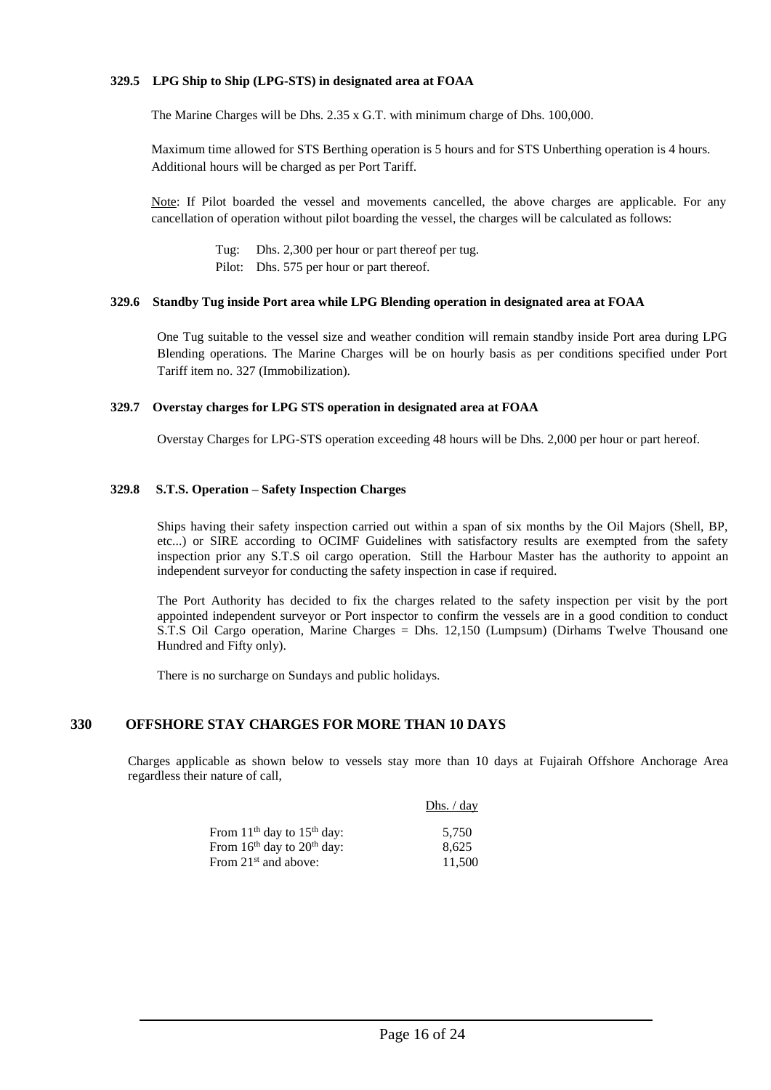#### **329.5 LPG Ship to Ship (LPG-STS) in designated area at FOAA**

The Marine Charges will be Dhs. 2.35 x G.T. with minimum charge of Dhs. 100,000.

Maximum time allowed for STS Berthing operation is 5 hours and for STS Unberthing operation is 4 hours. Additional hours will be charged as per Port Tariff.

Note: If Pilot boarded the vessel and movements cancelled, the above charges are applicable. For any cancellation of operation without pilot boarding the vessel, the charges will be calculated as follows:

Tug: Dhs. 2,300 per hour or part thereof per tug.

Pilot: Dhs. 575 per hour or part thereof.

#### **329.6 Standby Tug inside Port area while LPG Blending operation in designated area at FOAA**

One Tug suitable to the vessel size and weather condition will remain standby inside Port area during LPG Blending operations. The Marine Charges will be on hourly basis as per conditions specified under Port Tariff item no. 327 (Immobilization).

#### **329.7 Overstay charges for LPG STS operation in designated area at FOAA**

Overstay Charges for LPG-STS operation exceeding 48 hours will be Dhs. 2,000 per hour or part hereof.

#### **329.8 S.T.S. Operation – Safety Inspection Charges**

Ships having their safety inspection carried out within a span of six months by the Oil Majors (Shell, BP, etc...) or SIRE according to OCIMF Guidelines with satisfactory results are exempted from the safety inspection prior any S.T.S oil cargo operation. Still the Harbour Master has the authority to appoint an independent surveyor for conducting the safety inspection in case if required.

The Port Authority has decided to fix the charges related to the safety inspection per visit by the port appointed independent surveyor or Port inspector to confirm the vessels are in a good condition to conduct S.T.S Oil Cargo operation, Marine Charges = Dhs. 12,150 (Lumpsum) (Dirhams Twelve Thousand one Hundred and Fifty only).

There is no surcharge on Sundays and public holidays.

#### **330 OFFSHORE STAY CHARGES FOR MORE THAN 10 DAYS**

Charges applicable as shown below to vessels stay more than 10 days at Fujairah Offshore Anchorage Area regardless their nature of call,

Dhs. / day

| 5.750  |
|--------|
| 8.625  |
| 11.500 |
|        |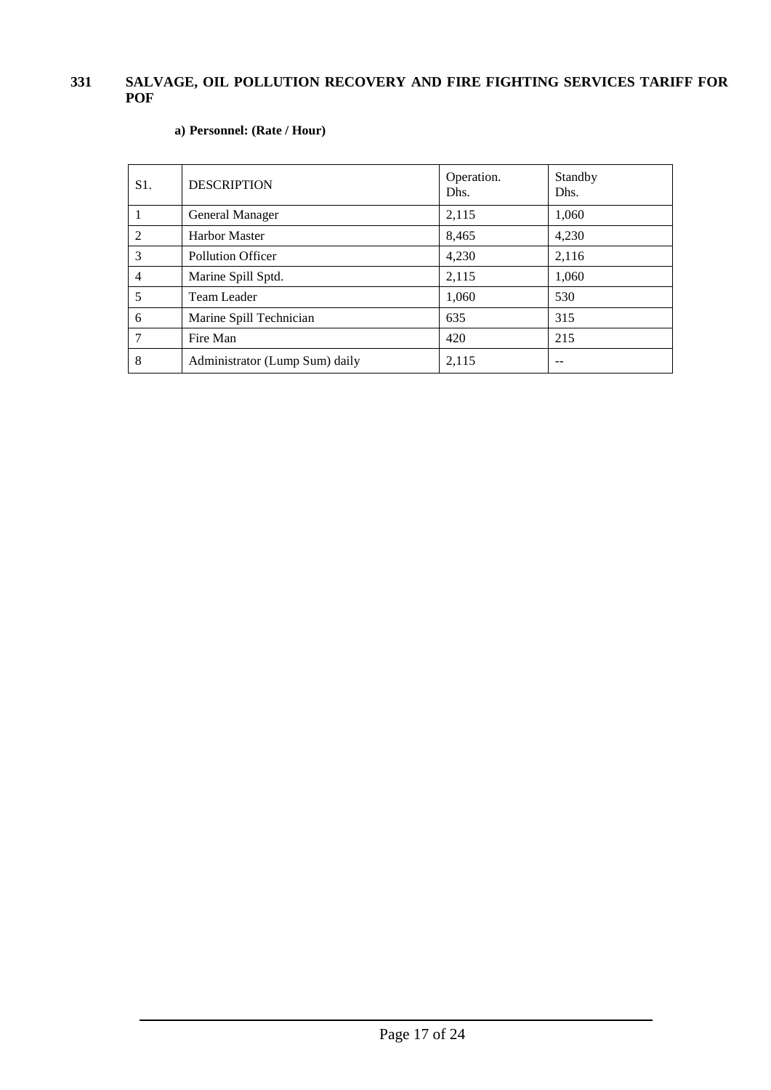#### **331 SALVAGE, OIL POLLUTION RECOVERY AND FIRE FIGHTING SERVICES TARIFF FOR POF**

| $S1$ .         | <b>DESCRIPTION</b>             | Operation.<br>Dhs. | Standby<br>Dhs. |
|----------------|--------------------------------|--------------------|-----------------|
| 1              | General Manager                | 2,115              | 1,060           |
| 2              | <b>Harbor Master</b>           | 8,465              | 4,230           |
| 3              | <b>Pollution Officer</b>       | 4,230              | 2,116           |
| $\overline{4}$ | Marine Spill Sptd.             | 2,115              | 1,060           |
| 5              | Team Leader                    | 1,060              | 530             |
| 6              | Marine Spill Technician        | 635                | 315             |
| 7              | Fire Man                       | 420                | 215             |
| 8              | Administrator (Lump Sum) daily | 2,115              |                 |

#### **a) Personnel: (Rate / Hour)**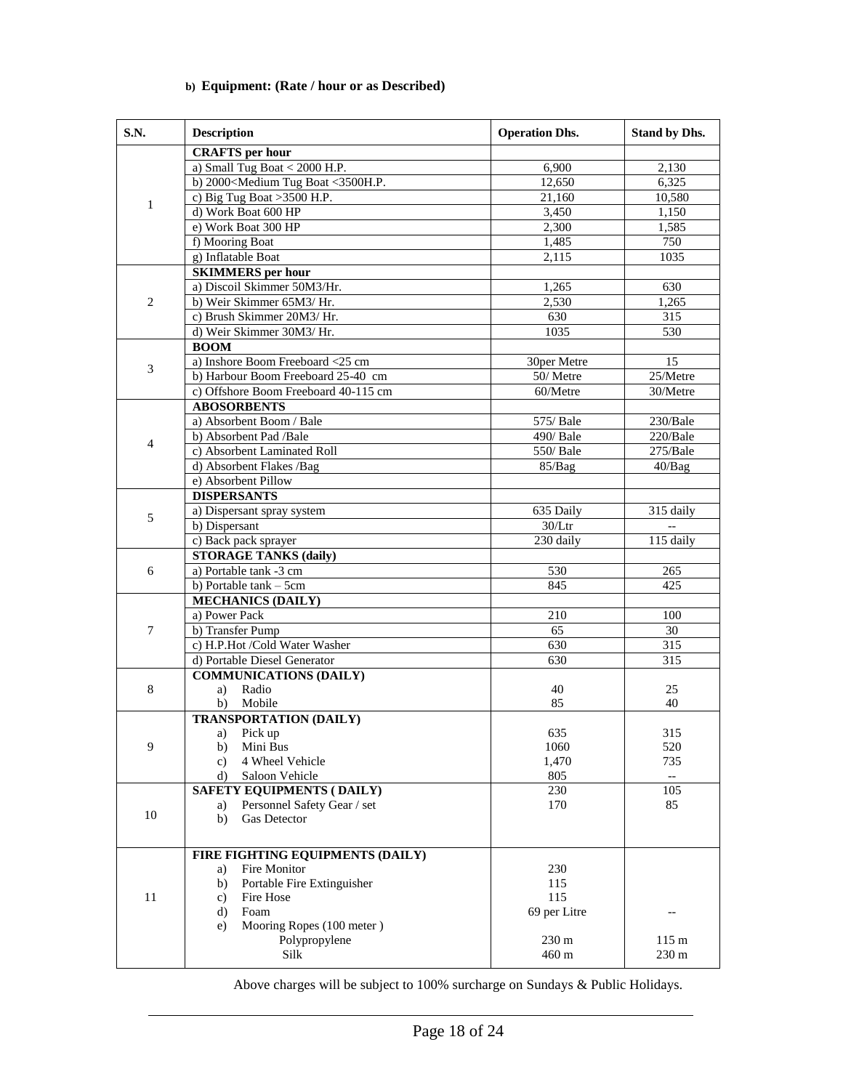| <b>S.N.</b>    | <b>Description</b>                                                                        | <b>Operation Dhs.</b> | <b>Stand by Dhs.</b> |
|----------------|-------------------------------------------------------------------------------------------|-----------------------|----------------------|
|                | <b>CRAFTS</b> per hour                                                                    |                       |                      |
|                | a) Small Tug Boat $<$ 2000 H.P.                                                           | 6,900                 | 2,130                |
|                | b) 2000 <medium <3500h.p.<="" boat="" td="" tug=""><td>12,650</td><td>6,325</td></medium> | 12,650                | 6,325                |
|                | c) Big Tug Boat $>3500$ H.P.                                                              | 21,160                | 10,580               |
| $\mathbf{1}$   | d) Work Boat 600 HP                                                                       | 3,450                 | 1,150                |
|                | e) Work Boat 300 HP                                                                       | 2,300                 | 1,585                |
|                | f) Mooring Boat                                                                           | 1,485                 | 750                  |
|                | g) Inflatable Boat                                                                        | 2.115                 | 1035                 |
|                | <b>SKIMMERS</b> per hour                                                                  |                       |                      |
|                | a) Discoil Skimmer 50M3/Hr.                                                               | 1,265                 | 630                  |
| 2              | b) Weir Skimmer 65M3/ Hr.                                                                 | 2,530                 | 1,265                |
|                | c) Brush Skimmer 20M3/Hr.                                                                 | 630                   | 315                  |
|                | d) Weir Skimmer 30M3/Hr.                                                                  | 1035                  | 530                  |
|                | <b>BOOM</b>                                                                               |                       |                      |
| 3              | a) Inshore Boom Freeboard <25 cm                                                          | 30per Metre           | 15                   |
|                | b) Harbour Boom Freeboard 25-40 cm                                                        | 50/Metre              | 25/Metre             |
|                | c) Offshore Boom Freeboard 40-115 cm                                                      | 60/Metre              | 30/Metre             |
|                | <b>ABOSORBENTS</b>                                                                        |                       |                      |
|                | a) Absorbent Boom / Bale                                                                  | 575/ Bale             | 230/Bale             |
| $\overline{4}$ | b) Absorbent Pad /Bale                                                                    | 490/ Bale             | 220/Bale             |
|                | c) Absorbent Laminated Roll                                                               | 550/ Bale             | 275/Bale             |
|                | d) Absorbent Flakes /Bag                                                                  | 85/Bag                | 40/Bag               |
|                | e) Absorbent Pillow                                                                       |                       |                      |
|                | <b>DISPERSANTS</b>                                                                        |                       |                      |
| 5              | a) Dispersant spray system                                                                | 635 Daily             | 315 daily            |
|                | b) Dispersant                                                                             | $30/L$ tr             |                      |
|                | c) Back pack sprayer                                                                      | 230 daily             | 115 daily            |
|                | <b>STORAGE TANKS (daily)</b>                                                              |                       |                      |
| 6              | $\overline{a}$ ) Portable tank -3 cm                                                      | 530                   | 265                  |
|                | b) Portable tank - 5cm                                                                    | 845                   | 425                  |
|                | <b>MECHANICS (DAILY)</b>                                                                  |                       |                      |
|                | a) Power Pack                                                                             | 210                   | 100                  |
| 7              | b) Transfer Pump                                                                          | 65                    | 30                   |
|                | c) H.P.Hot /Cold Water Washer                                                             | 630                   | 315                  |
|                | d) Portable Diesel Generator                                                              | 630                   | 315                  |
|                | <b>COMMUNICATIONS (DAILY)</b>                                                             |                       |                      |
| 8              | Radio<br>a)                                                                               | 40                    | 25                   |
|                | b)<br>Mobile                                                                              | 85                    | 40                   |
|                | <b>TRANSPORTATION (DAILY)</b>                                                             |                       |                      |
|                | a) Pick up                                                                                | 635                   | 315                  |
| 9              | Mini Bus<br>b)                                                                            | 1060                  | 520                  |
|                | 4 Wheel Vehicle<br>c)                                                                     | 1,470                 | 735                  |
|                | Saloon Vehicle<br>d)                                                                      | 805                   | $- -$                |
|                | <b>SAFETY EQUIPMENTS (DAILY)</b>                                                          | 230                   | 105                  |
| $10\,$         | Personnel Safety Gear / set<br>a)                                                         | 170                   | 85                   |
|                | <b>Gas Detector</b><br>b)                                                                 |                       |                      |
|                |                                                                                           |                       |                      |
|                | FIRE FIGHTING EQUIPMENTS (DAILY)                                                          |                       |                      |
|                | Fire Monitor<br>a)                                                                        | 230                   |                      |
|                | Portable Fire Extinguisher<br>b)                                                          | 115                   |                      |
| 11             | Fire Hose<br>c)                                                                           | 115                   |                      |
|                | Foam<br>d)                                                                                | 69 per Litre          |                      |
|                | Mooring Ropes (100 meter)<br>e)                                                           |                       |                      |
|                | Polypropylene                                                                             | 230 m                 | 115 <sub>m</sub>     |
|                | Silk                                                                                      | 460 m                 | 230 m                |

#### **b) Equipment: (Rate / hour or as Described)**

Above charges will be subject to 100% surcharge on Sundays & Public Holidays.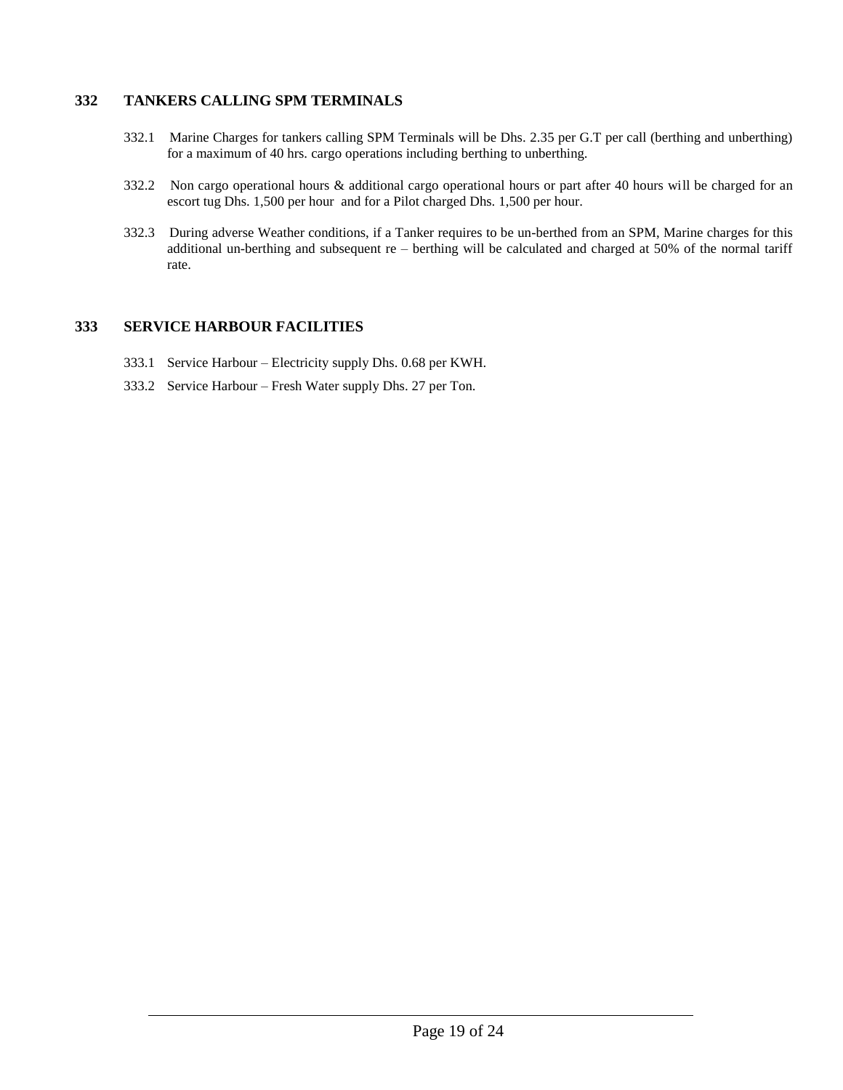#### **332 TANKERS CALLING SPM TERMINALS**

- 332.1 Marine Charges for tankers calling SPM Terminals will be Dhs. 2.35 per G.T per call (berthing and unberthing) for a maximum of 40 hrs. cargo operations including berthing to unberthing.
- 332.2 Non cargo operational hours & additional cargo operational hours or part after 40 hours will be charged for an escort tug Dhs. 1,500 per hour and for a Pilot charged Dhs. 1,500 per hour.
- 332.3 During adverse Weather conditions, if a Tanker requires to be un-berthed from an SPM, Marine charges for this additional un-berthing and subsequent re – berthing will be calculated and charged at 50% of the normal tariff rate.

#### **333 SERVICE HARBOUR FACILITIES**

- 333.1 Service Harbour Electricity supply Dhs. 0.68 per KWH.
- 333.2 Service Harbour Fresh Water supply Dhs. 27 per Ton.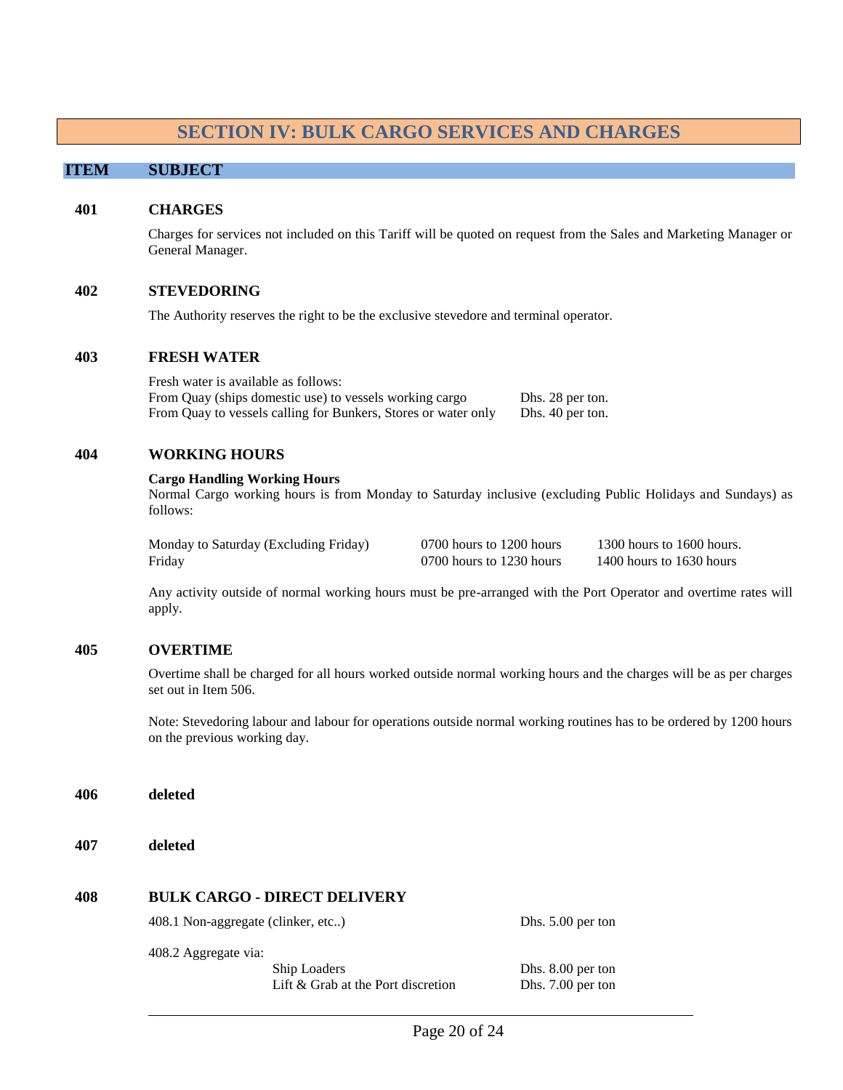#### **SECTION IV: BULK CARGO SERVICES AND CHARGES**

#### **ITEM SUBJECT**

#### <span id="page-19-0"></span>**401 CHARGES**

Charges for services not included on this Tariff will be quoted on request from the Sales and Marketing Manager or General Manager.

#### **402 STEVEDORING**

The Authority reserves the right to be the exclusive stevedore and terminal operator.

#### **403 FRESH WATER**

Fresh water is available as follows: From Quay (ships domestic use) to vessels working cargo Dhs. 28 per ton. From Quay to vessels calling for Bunkers, Stores or water only Dhs. 40 per ton.

#### **404 WORKING HOURS**

#### **Cargo Handling Working Hours**

Normal Cargo working hours is from Monday to Saturday inclusive (excluding Public Holidays and Sundays) as follows:

| Monday to Saturday (Excluding Friday) | 0700 hours to 1200 hours | 1300 hours to 1600 hours. |
|---------------------------------------|--------------------------|---------------------------|
| Friday                                | 0700 hours to 1230 hours | 1400 hours to 1630 hours  |

Any activity outside of normal working hours must be pre-arranged with the Port Operator and overtime rates will apply.

#### **405 OVERTIME**

Overtime shall be charged for all hours worked outside normal working hours and the charges will be as per charges set out in Item 506.

Note: Stevedoring labour and labour for operations outside normal working routines has to be ordered by 1200 hours on the previous working day.

**406 deleted**

**407 deleted**

#### **408 BULK CARGO - DIRECT DELIVERY**

408.1 Non-aggregate (clinker, etc..) Dhs. 5.00 per ton

408.2 Aggregate via:

Ship Loaders Dhs. 8.00 per ton Lift & Grab at the Port discretion Dhs. 7.00 per ton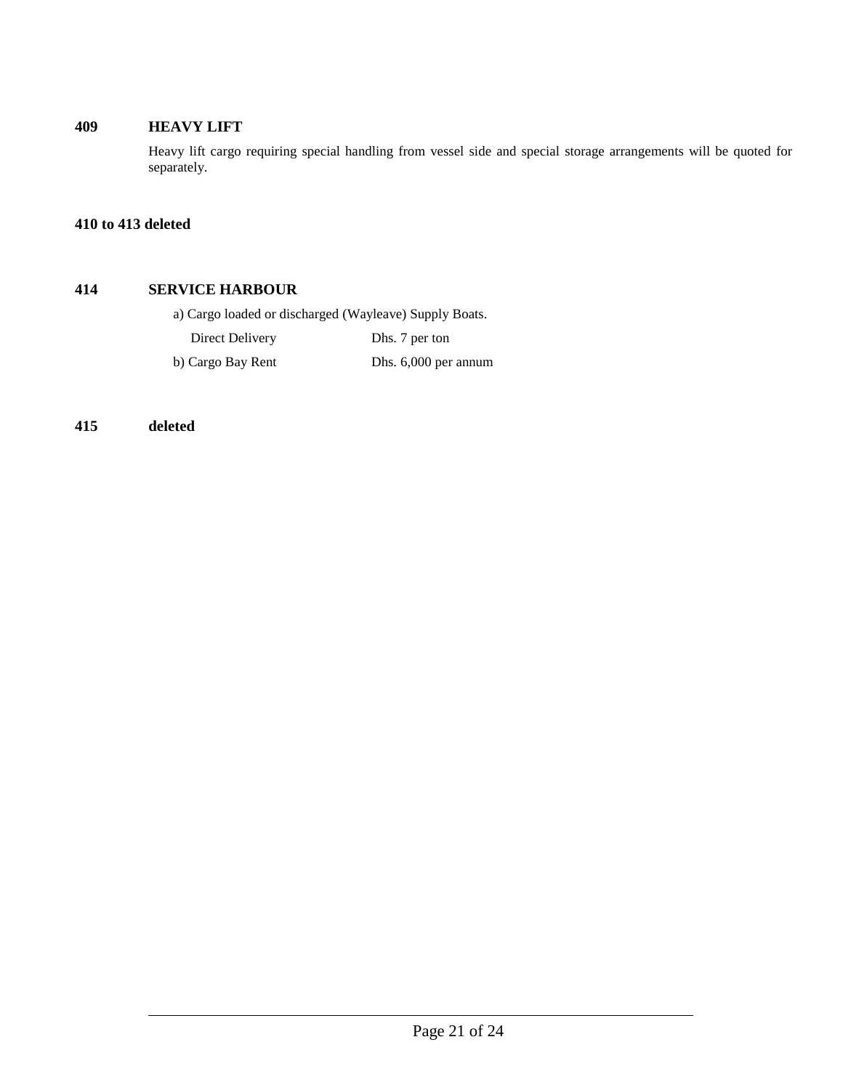#### **409 HEAVY LIFT**

Heavy lift cargo requiring special handling from vessel side and special storage arrangements will be quoted for separately.

#### **410 to 413 deleted**

#### **414 SERVICE HARBOUR**

a) Cargo loaded or discharged (Wayleave) Supply Boats.

Direct Delivery Dhs. 7 per ton

b) Cargo Bay Rent Dhs. 6,000 per annum

**415 deleted**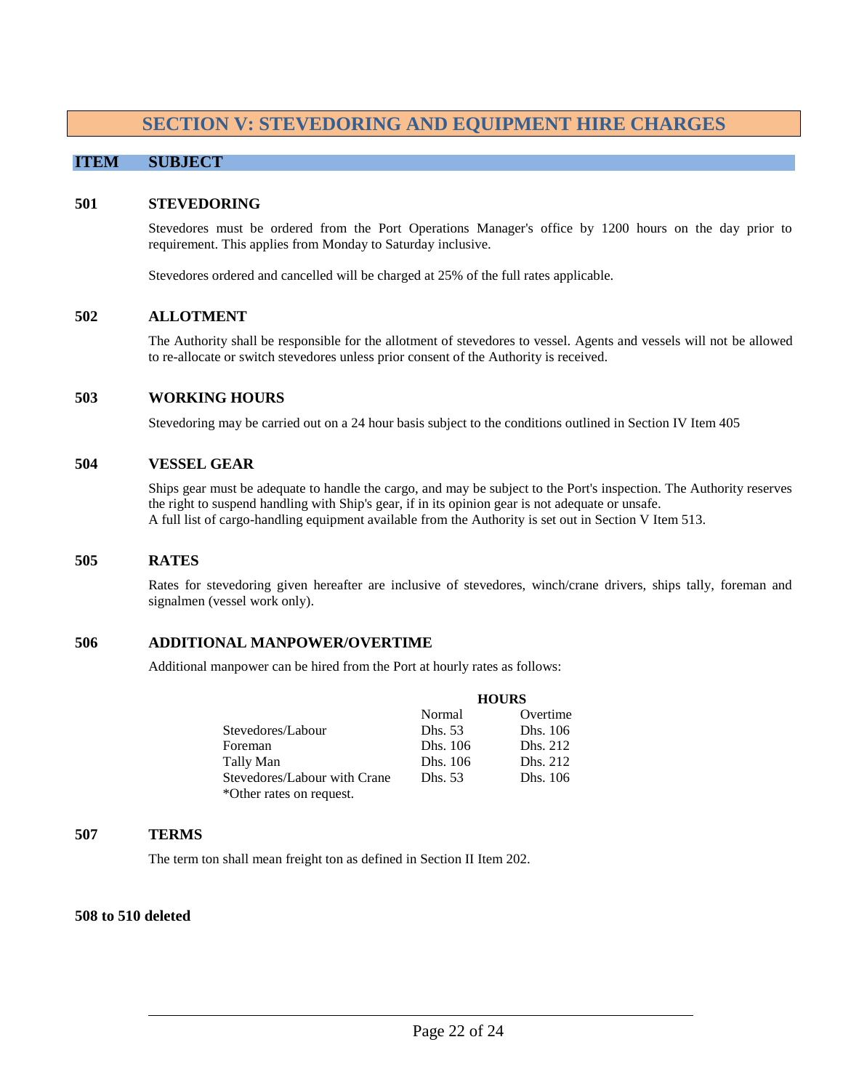## **SECTION V: STEVEDORING AND EQUIPMENT HIRE CHARGES**

#### <span id="page-21-0"></span>**ITEM SUBJECT**

#### **501 STEVEDORING**

Stevedores must be ordered from the Port Operations Manager's office by 1200 hours on the day prior to requirement. This applies from Monday to Saturday inclusive.

Stevedores ordered and cancelled will be charged at 25% of the full rates applicable.

#### **502 ALLOTMENT**

The Authority shall be responsible for the allotment of stevedores to vessel. Agents and vessels will not be allowed to re-allocate or switch stevedores unless prior consent of the Authority is received.

#### **503 WORKING HOURS**

Stevedoring may be carried out on a 24 hour basis subject to the conditions outlined in Section IV Item 405

#### **504 VESSEL GEAR**

Ships gear must be adequate to handle the cargo, and may be subject to the Port's inspection. The Authority reserves the right to suspend handling with Ship's gear, if in its opinion gear is not adequate or unsafe. A full list of cargo-handling equipment available from the Authority is set out in Section V Item 513.

#### **505 RATES**

Rates for stevedoring given hereafter are inclusive of stevedores, winch/crane drivers, ships tally, foreman and signalmen (vessel work only).

#### **506 ADDITIONAL MANPOWER/OVERTIME**

Additional manpower can be hired from the Port at hourly rates as follows:

|                              | <b>HOURS</b> |          |
|------------------------------|--------------|----------|
|                              | Normal       | Overtime |
| Stevedores/Labour            | Dhs. 53      | Dhs. 106 |
| Foreman                      | Dhs. 106     | Dhs. 212 |
| Tally Man                    | Dhs. 106     | Dhs. 212 |
| Stevedores/Labour with Crane | Dhs. 53      | Dhs. 106 |
| *Other rates on request.     |              |          |

#### **507 TERMS**

The term ton shall mean freight ton as defined in Section II Item 202.

#### **508 to 510 deleted**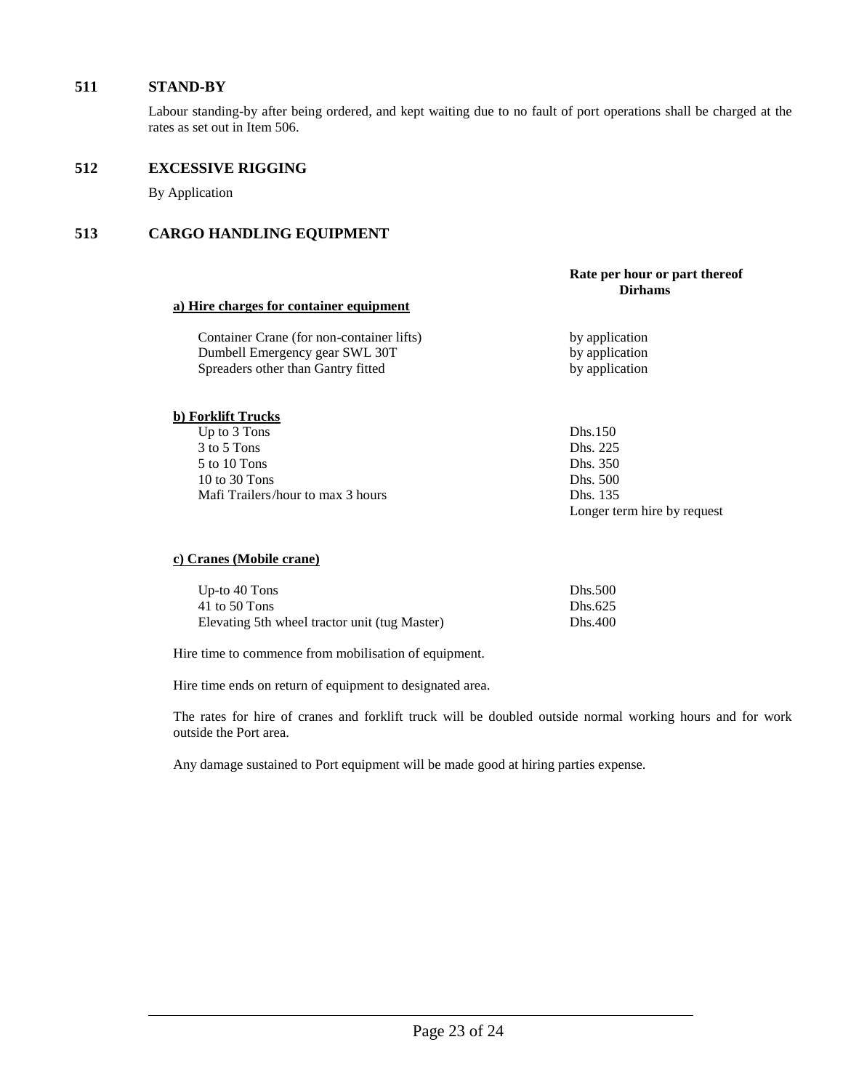#### **511 STAND-BY**

Labour standing-by after being ordered, and kept waiting due to no fault of port operations shall be charged at the rates as set out in Item 506.

#### **512 EXCESSIVE RIGGING**

By Application

#### **513 CARGO HANDLING EQUIPMENT**

#### **Rate per hour or part thereof Dirhams**

#### **a) Hire charges for container equipment**

Container Crane (for non-container lifts) by application Dumbell Emergency gear SWL 30T by application Spreaders other than Gantry fitted by application

#### **b) Forklift Trucks**

Up to 3 Tons Dhs.150 3 to 5 Tons Dhs. 225 5 to 10 Tons Dhs. 350 10 to 30 Tons Dhs. 500 Mafi Trailers/hour to max 3 hours Dhs. 135

Longer term hire by request

#### **c) Cranes (Mobile crane)**

| Up-to $40$ Tons                               | Dhs.500 |
|-----------------------------------------------|---------|
| 41 to 50 Tons                                 | Dhs.625 |
| Elevating 5th wheel tractor unit (tug Master) | Dhs.400 |

Hire time to commence from mobilisation of equipment.

Hire time ends on return of equipment to designated area.

The rates for hire of cranes and forklift truck will be doubled outside normal working hours and for work outside the Port area.

Any damage sustained to Port equipment will be made good at hiring parties expense.